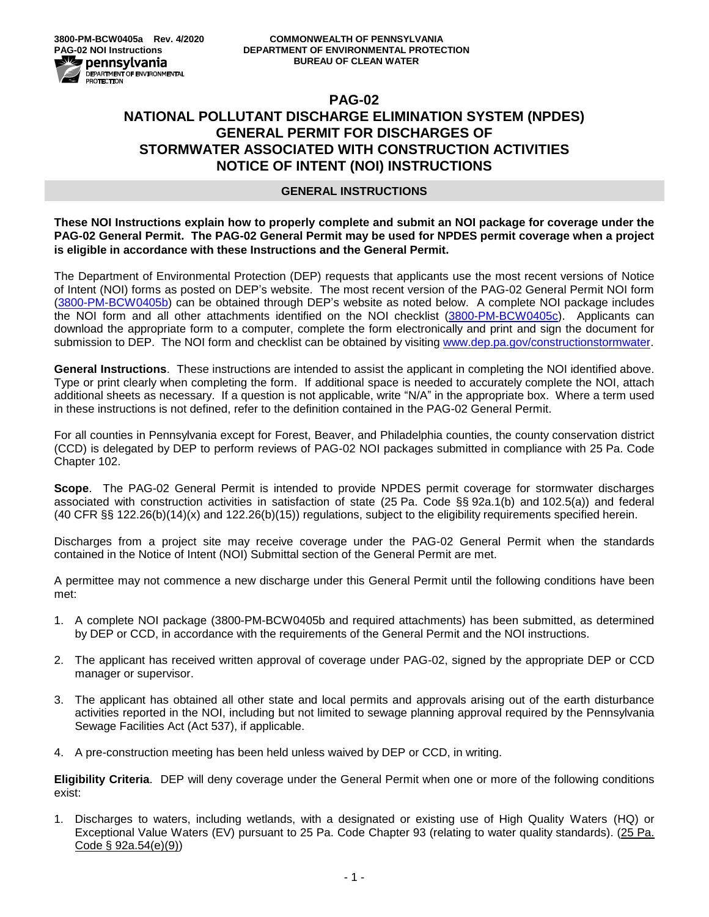# **PAG-02 NATIONAL POLLUTANT DISCHARGE ELIMINATION SYSTEM (NPDES) GENERAL PERMIT FOR DISCHARGES OF STORMWATER ASSOCIATED WITH CONSTRUCTION ACTIVITIES NOTICE OF INTENT (NOI) INSTRUCTIONS**

### **GENERAL INSTRUCTIONS**

**These NOI Instructions explain how to properly complete and submit an NOI package for coverage under the PAG-02 General Permit. The PAG-02 General Permit may be used for NPDES permit coverage when a project is eligible in accordance with these Instructions and the General Permit.**

The Department of Environmental Protection (DEP) requests that applicants use the most recent versions of Notice of Intent (NOI) forms as posted on DEP's website. The most recent version of the PAG-02 General Permit NOI form [\(3800-PM-BCW0405b\)](http://www.depgreenport.state.pa.us/elibrary/GetFolder?FolderID=90982) can be obtained through DEP's website as noted below. A complete NOI package includes the NOI form and all other attachments identified on the NOI checklist [\(3800-PM-BCW0405c\)](http://www.depgreenport.state.pa.us/elibrary/GetFolder?FolderID=90982). Applicants can download the appropriate form to a computer, complete the form electronically and print and sign the document for submission to DEP. The NOI form and checklist can be obtained by visiting [www.dep.pa.gov/constructionstormwater.](http://www.dep.pa.gov/constructionstormwater)

**General Instructions**. These instructions are intended to assist the applicant in completing the NOI identified above. Type or print clearly when completing the form. If additional space is needed to accurately complete the NOI, attach additional sheets as necessary. If a question is not applicable, write "N/A" in the appropriate box. Where a term used in these instructions is not defined, refer to the definition contained in the PAG-02 General Permit.

For all counties in Pennsylvania except for Forest, Beaver, and Philadelphia counties, the county conservation district (CCD) is delegated by DEP to perform reviews of PAG-02 NOI packages submitted in compliance with 25 Pa. Code Chapter 102.

**Scope**. The PAG-02 General Permit is intended to provide NPDES permit coverage for stormwater discharges associated with construction activities in satisfaction of state (25 Pa. Code §§ 92a.1(b) and 102.5(a)) and federal (40 CFR §§ 122.26(b)(14)(x) and 122.26(b)(15)) regulations, subject to the eligibility requirements specified herein.

Discharges from a project site may receive coverage under the PAG-02 General Permit when the standards contained in the Notice of Intent (NOI) Submittal section of the General Permit are met.

A permittee may not commence a new discharge under this General Permit until the following conditions have been met:

- 1. A complete NOI package (3800-PM-BCW0405b and required attachments) has been submitted, as determined by DEP or CCD, in accordance with the requirements of the General Permit and the NOI instructions.
- 2. The applicant has received written approval of coverage under PAG-02, signed by the appropriate DEP or CCD manager or supervisor.
- 3. The applicant has obtained all other state and local permits and approvals arising out of the earth disturbance activities reported in the NOI, including but not limited to sewage planning approval required by the Pennsylvania Sewage Facilities Act (Act 537), if applicable.
- 4. A pre-construction meeting has been held unless waived by DEP or CCD, in writing.

**Eligibility Criteria**. DEP will deny coverage under the General Permit when one or more of the following conditions exist:

1. Discharges to waters, including wetlands, with a designated or existing use of High Quality Waters (HQ) or Exceptional Value Waters (EV) pursuant to 25 Pa. Code Chapter 93 (relating to water quality standards). (25 Pa. Code § 92a.54(e)(9))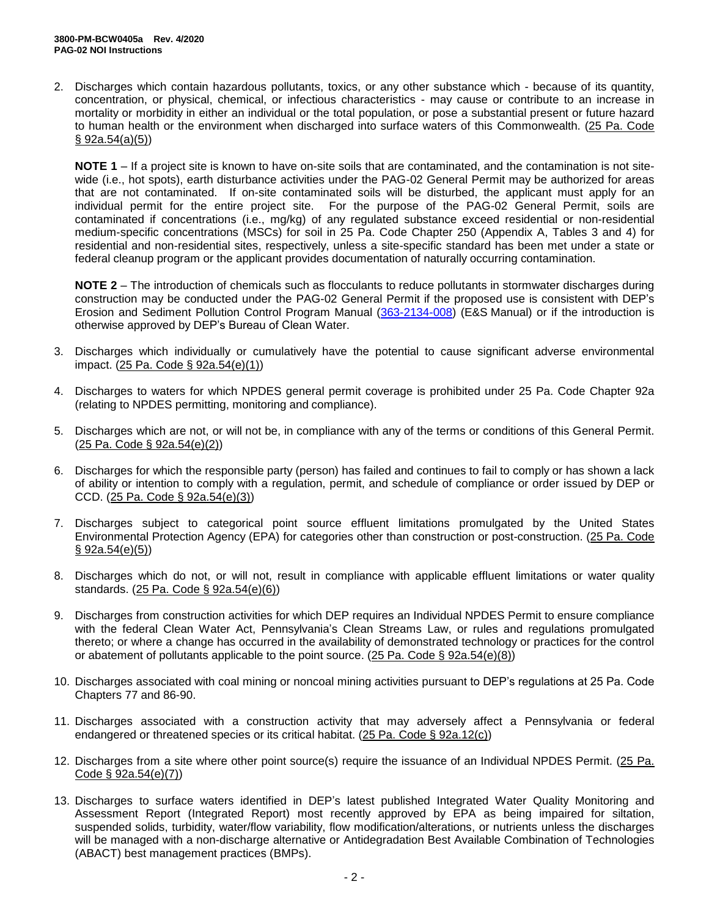2. Discharges which contain hazardous pollutants, toxics, or any other substance which - because of its quantity, concentration, or physical, chemical, or infectious characteristics - may cause or contribute to an increase in mortality or morbidity in either an individual or the total population, or pose a substantial present or future hazard to human health or the environment when discharged into surface waters of this Commonwealth. (25 Pa. Code § 92a.54(a)(5))

**NOTE 1** – If a project site is known to have on-site soils that are contaminated, and the contamination is not sitewide (i.e., hot spots), earth disturbance activities under the PAG-02 General Permit may be authorized for areas that are not contaminated. If on-site contaminated soils will be disturbed, the applicant must apply for an individual permit for the entire project site. For the purpose of the PAG-02 General Permit, soils are contaminated if concentrations (i.e., mg/kg) of any regulated substance exceed residential or non-residential medium-specific concentrations (MSCs) for soil in 25 Pa. Code Chapter 250 (Appendix A, Tables 3 and 4) for residential and non-residential sites, respectively, unless a site-specific standard has been met under a state or federal cleanup program or the applicant provides documentation of naturally occurring contamination.

**NOTE 2** – The introduction of chemicals such as flocculants to reduce pollutants in stormwater discharges during construction may be conducted under the PAG-02 General Permit if the proposed use is consistent with DEP's Erosion and Sediment Pollution Control Program Manual [\(363-2134-008\)](http://www.depgreenport.state.pa.us/elibrary/GetFolder?FolderID=4680) (E&S Manual) or if the introduction is otherwise approved by DEP's Bureau of Clean Water.

- 3. Discharges which individually or cumulatively have the potential to cause significant adverse environmental impact. (25 Pa. Code § 92a.54(e)(1))
- 4. Discharges to waters for which NPDES general permit coverage is prohibited under 25 Pa. Code Chapter 92a (relating to NPDES permitting, monitoring and compliance).
- 5. Discharges which are not, or will not be, in compliance with any of the terms or conditions of this General Permit. (25 Pa. Code § 92a.54(e)(2))
- 6. Discharges for which the responsible party (person) has failed and continues to fail to comply or has shown a lack of ability or intention to comply with a regulation, permit, and schedule of compliance or order issued by DEP or CCD. (25 Pa. Code § 92a.54(e)(3))
- 7. Discharges subject to categorical point source effluent limitations promulgated by the United States Environmental Protection Agency (EPA) for categories other than construction or post-construction. (25 Pa. Code § 92a.54(e)(5))
- 8. Discharges which do not, or will not, result in compliance with applicable effluent limitations or water quality standards. (25 Pa. Code § 92a.54(e)(6))
- 9. Discharges from construction activities for which DEP requires an Individual NPDES Permit to ensure compliance with the federal Clean Water Act, Pennsylvania's Clean Streams Law, or rules and regulations promulgated thereto; or where a change has occurred in the availability of demonstrated technology or practices for the control or abatement of pollutants applicable to the point source.  $(25 \text{ Pa. Code } \S$  92a.54(e)(8))
- 10. Discharges associated with coal mining or noncoal mining activities pursuant to DEP's regulations at 25 Pa. Code Chapters 77 and 86-90.
- 11. Discharges associated with a construction activity that may adversely affect a Pennsylvania or federal endangered or threatened species or its critical habitat. (25 Pa. Code § 92a.12(c))
- 12. Discharges from a site where other point source(s) require the issuance of an Individual NPDES Permit. (25 Pa. Code § 92a.54(e)(7))
- 13. Discharges to surface waters identified in DEP's latest published Integrated Water Quality Monitoring and Assessment Report (Integrated Report) most recently approved by EPA as being impaired for siltation, suspended solids, turbidity, water/flow variability, flow modification/alterations, or nutrients unless the discharges will be managed with a non-discharge alternative or Antidegradation Best Available Combination of Technologies (ABACT) best management practices (BMPs).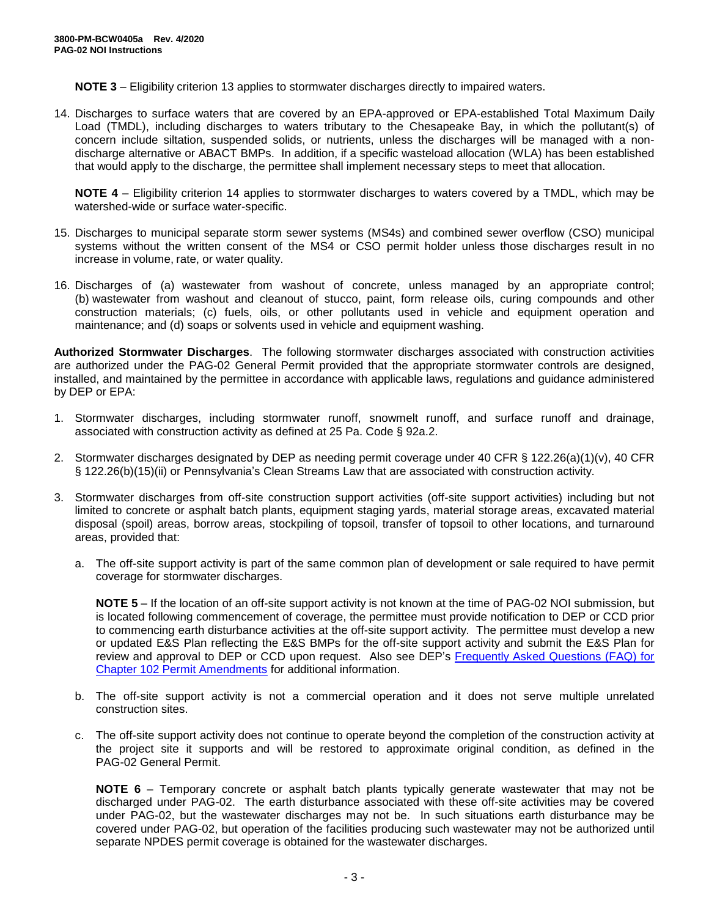**NOTE 3** – Eligibility criterion 13 applies to stormwater discharges directly to impaired waters.

14. Discharges to surface waters that are covered by an EPA-approved or EPA-established Total Maximum Daily Load (TMDL), including discharges to waters tributary to the Chesapeake Bay, in which the pollutant(s) of concern include siltation, suspended solids, or nutrients, unless the discharges will be managed with a nondischarge alternative or ABACT BMPs. In addition, if a specific wasteload allocation (WLA) has been established that would apply to the discharge, the permittee shall implement necessary steps to meet that allocation.

**NOTE 4** – Eligibility criterion 14 applies to stormwater discharges to waters covered by a TMDL, which may be watershed-wide or surface water-specific.

- 15. Discharges to municipal separate storm sewer systems (MS4s) and combined sewer overflow (CSO) municipal systems without the written consent of the MS4 or CSO permit holder unless those discharges result in no increase in volume, rate, or water quality.
- 16. Discharges of (a) wastewater from washout of concrete, unless managed by an appropriate control; (b) wastewater from washout and cleanout of stucco, paint, form release oils, curing compounds and other construction materials; (c) fuels, oils, or other pollutants used in vehicle and equipment operation and maintenance; and (d) soaps or solvents used in vehicle and equipment washing.

**Authorized Stormwater Discharges**. The following stormwater discharges associated with construction activities are authorized under the PAG-02 General Permit provided that the appropriate stormwater controls are designed, installed, and maintained by the permittee in accordance with applicable laws, regulations and guidance administered by DEP or EPA:

- 1. Stormwater discharges, including stormwater runoff, snowmelt runoff, and surface runoff and drainage, associated with construction activity as defined at 25 Pa. Code § 92a.2.
- 2. Stormwater discharges designated by DEP as needing permit coverage under 40 CFR § 122.26(a)(1)(v), 40 CFR § 122.26(b)(15)(ii) or Pennsylvania's Clean Streams Law that are associated with construction activity.
- 3. Stormwater discharges from off-site construction support activities (off-site support activities) including but not limited to concrete or asphalt batch plants, equipment staging yards, material storage areas, excavated material disposal (spoil) areas, borrow areas, stockpiling of topsoil, transfer of topsoil to other locations, and turnaround areas, provided that:
	- a. The off-site support activity is part of the same common plan of development or sale required to have permit coverage for stormwater discharges.

**NOTE 5** – If the location of an off-site support activity is not known at the time of PAG-02 NOI submission, but is located following commencement of coverage, the permittee must provide notification to DEP or CCD prior to commencing earth disturbance activities at the off-site support activity. The permittee must develop a new or updated E&S Plan reflecting the E&S BMPs for the off-site support activity and submit the E&S Plan for review and approval to DEP or CCD upon request. Also see DEP's Frequently [Asked Questions \(FAQ\) for](http://files.dep.state.pa.us/Water/BPNPSM/StormwaterManagement/ConstructionStormwater/Chapter_102_Permit_Amendments_FAQ.pdf)  [Chapter 102 Permit Amendments](http://files.dep.state.pa.us/Water/BPNPSM/StormwaterManagement/ConstructionStormwater/Chapter_102_Permit_Amendments_FAQ.pdf) for additional information.

- b. The off-site support activity is not a commercial operation and it does not serve multiple unrelated construction sites.
- c. The off-site support activity does not continue to operate beyond the completion of the construction activity at the project site it supports and will be restored to approximate original condition, as defined in the PAG-02 General Permit.

**NOTE 6** – Temporary concrete or asphalt batch plants typically generate wastewater that may not be discharged under PAG-02. The earth disturbance associated with these off-site activities may be covered under PAG-02, but the wastewater discharges may not be. In such situations earth disturbance may be covered under PAG-02, but operation of the facilities producing such wastewater may not be authorized until separate NPDES permit coverage is obtained for the wastewater discharges.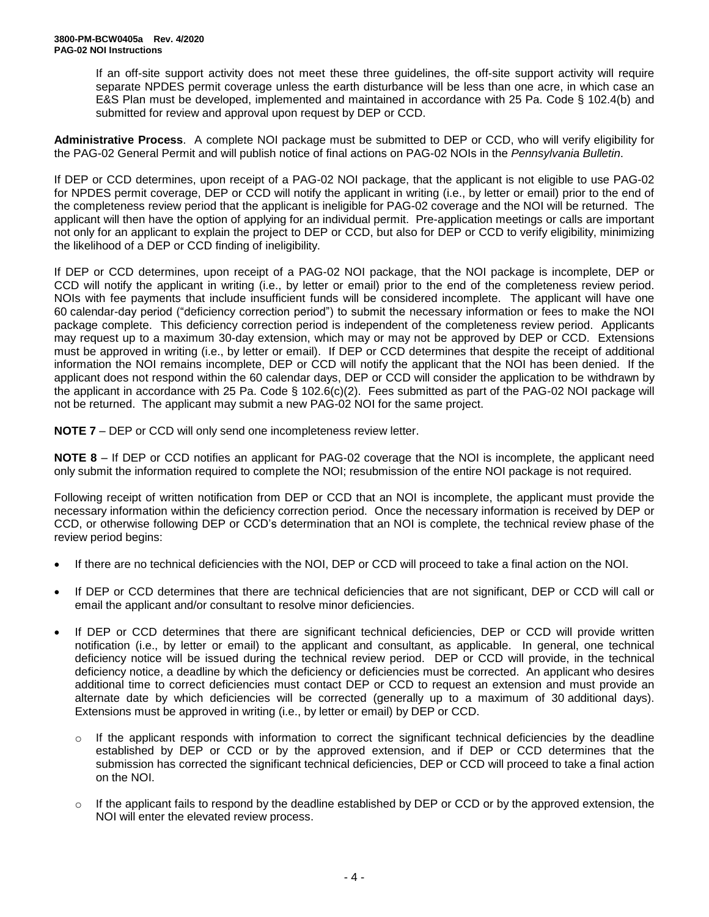If an off-site support activity does not meet these three guidelines, the off-site support activity will require separate NPDES permit coverage unless the earth disturbance will be less than one acre, in which case an E&S Plan must be developed, implemented and maintained in accordance with 25 Pa. Code § 102.4(b) and submitted for review and approval upon request by DEP or CCD.

**Administrative Process**. A complete NOI package must be submitted to DEP or CCD, who will verify eligibility for the PAG-02 General Permit and will publish notice of final actions on PAG-02 NOIs in the *Pennsylvania Bulletin*.

If DEP or CCD determines, upon receipt of a PAG-02 NOI package, that the applicant is not eligible to use PAG-02 for NPDES permit coverage, DEP or CCD will notify the applicant in writing (i.e., by letter or email) prior to the end of the completeness review period that the applicant is ineligible for PAG-02 coverage and the NOI will be returned. The applicant will then have the option of applying for an individual permit. Pre-application meetings or calls are important not only for an applicant to explain the project to DEP or CCD, but also for DEP or CCD to verify eligibility, minimizing the likelihood of a DEP or CCD finding of ineligibility.

If DEP or CCD determines, upon receipt of a PAG-02 NOI package, that the NOI package is incomplete, DEP or CCD will notify the applicant in writing (i.e., by letter or email) prior to the end of the completeness review period. NOIs with fee payments that include insufficient funds will be considered incomplete. The applicant will have one 60 calendar-day period ("deficiency correction period") to submit the necessary information or fees to make the NOI package complete. This deficiency correction period is independent of the completeness review period. Applicants may request up to a maximum 30-day extension, which may or may not be approved by DEP or CCD. Extensions must be approved in writing (i.e., by letter or email). If DEP or CCD determines that despite the receipt of additional information the NOI remains incomplete, DEP or CCD will notify the applicant that the NOI has been denied. If the applicant does not respond within the 60 calendar days, DEP or CCD will consider the application to be withdrawn by the applicant in accordance with 25 Pa. Code § 102.6(c)(2). Fees submitted as part of the PAG-02 NOI package will not be returned. The applicant may submit a new PAG-02 NOI for the same project.

**NOTE 7** – DEP or CCD will only send one incompleteness review letter.

**NOTE 8** – If DEP or CCD notifies an applicant for PAG-02 coverage that the NOI is incomplete, the applicant need only submit the information required to complete the NOI; resubmission of the entire NOI package is not required.

Following receipt of written notification from DEP or CCD that an NOI is incomplete, the applicant must provide the necessary information within the deficiency correction period. Once the necessary information is received by DEP or CCD, or otherwise following DEP or CCD's determination that an NOI is complete, the technical review phase of the review period begins:

- If there are no technical deficiencies with the NOI, DEP or CCD will proceed to take a final action on the NOI.
- If DEP or CCD determines that there are technical deficiencies that are not significant, DEP or CCD will call or email the applicant and/or consultant to resolve minor deficiencies.
- If DEP or CCD determines that there are significant technical deficiencies, DEP or CCD will provide written notification (i.e., by letter or email) to the applicant and consultant, as applicable. In general, one technical deficiency notice will be issued during the technical review period. DEP or CCD will provide, in the technical deficiency notice, a deadline by which the deficiency or deficiencies must be corrected. An applicant who desires additional time to correct deficiencies must contact DEP or CCD to request an extension and must provide an alternate date by which deficiencies will be corrected (generally up to a maximum of 30 additional days). Extensions must be approved in writing (i.e., by letter or email) by DEP or CCD.
	- o If the applicant responds with information to correct the significant technical deficiencies by the deadline established by DEP or CCD or by the approved extension, and if DEP or CCD determines that the submission has corrected the significant technical deficiencies, DEP or CCD will proceed to take a final action on the NOI.
	- o If the applicant fails to respond by the deadline established by DEP or CCD or by the approved extension, the NOI will enter the elevated review process.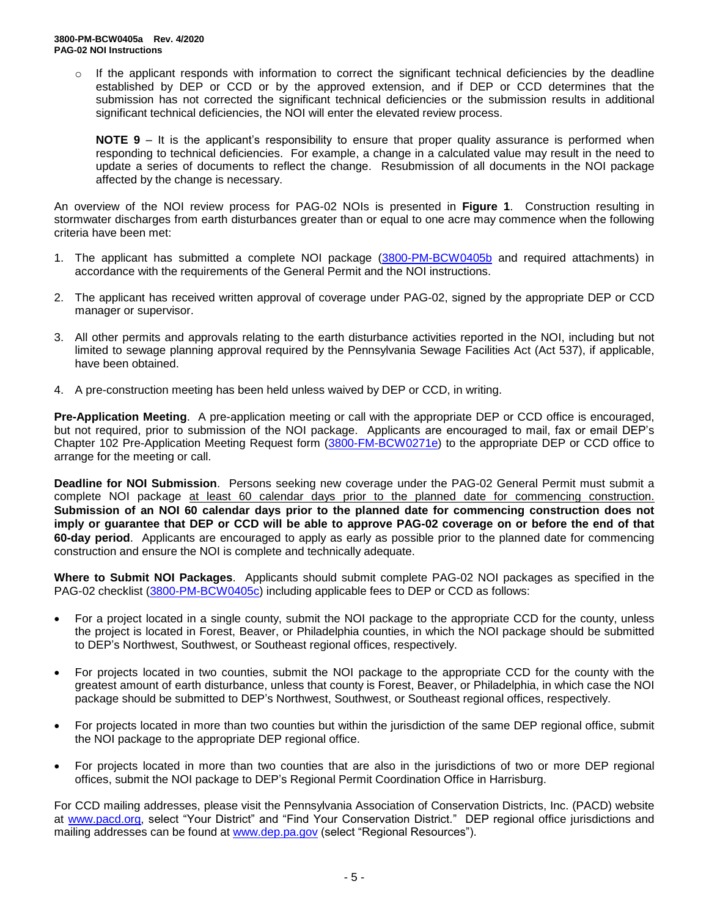$\circ$  If the applicant responds with information to correct the significant technical deficiencies by the deadline established by DEP or CCD or by the approved extension, and if DEP or CCD determines that the submission has not corrected the significant technical deficiencies or the submission results in additional significant technical deficiencies, the NOI will enter the elevated review process.

**NOTE**  $9 -$  It is the applicant's responsibility to ensure that proper quality assurance is performed when responding to technical deficiencies. For example, a change in a calculated value may result in the need to update a series of documents to reflect the change. Resubmission of all documents in the NOI package affected by the change is necessary.

An overview of the NOI review process for PAG-02 NOIs is presented in **Figure 1**. Construction resulting in stormwater discharges from earth disturbances greater than or equal to one acre may commence when the following criteria have been met:

- 1. The applicant has submitted a complete NOI package [\(3800-PM-BCW0405b](http://www.depgreenport.state.pa.us/elibrary/GetFolder?FolderID=90982) and required attachments) in accordance with the requirements of the General Permit and the NOI instructions.
- 2. The applicant has received written approval of coverage under PAG-02, signed by the appropriate DEP or CCD manager or supervisor.
- 3. All other permits and approvals relating to the earth disturbance activities reported in the NOI, including but not limited to sewage planning approval required by the Pennsylvania Sewage Facilities Act (Act 537), if applicable, have been obtained.
- 4. A pre-construction meeting has been held unless waived by DEP or CCD, in writing.

**Pre-Application Meeting**. A pre-application meeting or call with the appropriate DEP or CCD office is encouraged, but not required, prior to submission of the NOI package. Applicants are encouraged to mail, fax or email DEP's Chapter 102 Pre-Application Meeting Request form [\(3800-FM-BCW0271e\)](http://www.depgreenport.state.pa.us/elibrary/GetFolder?FolderID=2713) to the appropriate DEP or CCD office to arrange for the meeting or call.

**Deadline for NOI Submission**. Persons seeking new coverage under the PAG-02 General Permit must submit a complete NOI package at least 60 calendar days prior to the planned date for commencing construction. **Submission of an NOI 60 calendar days prior to the planned date for commencing construction does not imply or guarantee that DEP or CCD will be able to approve PAG-02 coverage on or before the end of that 60-day period**. Applicants are encouraged to apply as early as possible prior to the planned date for commencing construction and ensure the NOI is complete and technically adequate.

**Where to Submit NOI Packages**. Applicants should submit complete PAG-02 NOI packages as specified in the PAG-02 checklist [\(3800-PM-BCW0405c\)](http://www.depgreenport.state.pa.us/elibrary/GetFolder?FolderID=90982) including applicable fees to DEP or CCD as follows:

- For a project located in a single county, submit the NOI package to the appropriate CCD for the county, unless the project is located in Forest, Beaver, or Philadelphia counties, in which the NOI package should be submitted to DEP's Northwest, Southwest, or Southeast regional offices, respectively.
- For projects located in two counties, submit the NOI package to the appropriate CCD for the county with the greatest amount of earth disturbance, unless that county is Forest, Beaver, or Philadelphia, in which case the NOI package should be submitted to DEP's Northwest, Southwest, or Southeast regional offices, respectively.
- For projects located in more than two counties but within the jurisdiction of the same DEP regional office, submit the NOI package to the appropriate DEP regional office.
- For projects located in more than two counties that are also in the jurisdictions of two or more DEP regional offices, submit the NOI package to DEP's Regional Permit Coordination Office in Harrisburg.

For CCD mailing addresses, please visit the Pennsylvania Association of Conservation Districts, Inc. (PACD) website at [www.pacd.org,](http://www.pacd.org/) select "Your District" and "Find Your Conservation District." DEP regional office jurisdictions and mailing addresses can be found at [www.dep.pa.gov](http://www.dep.pa.gov/) (select "Regional Resources").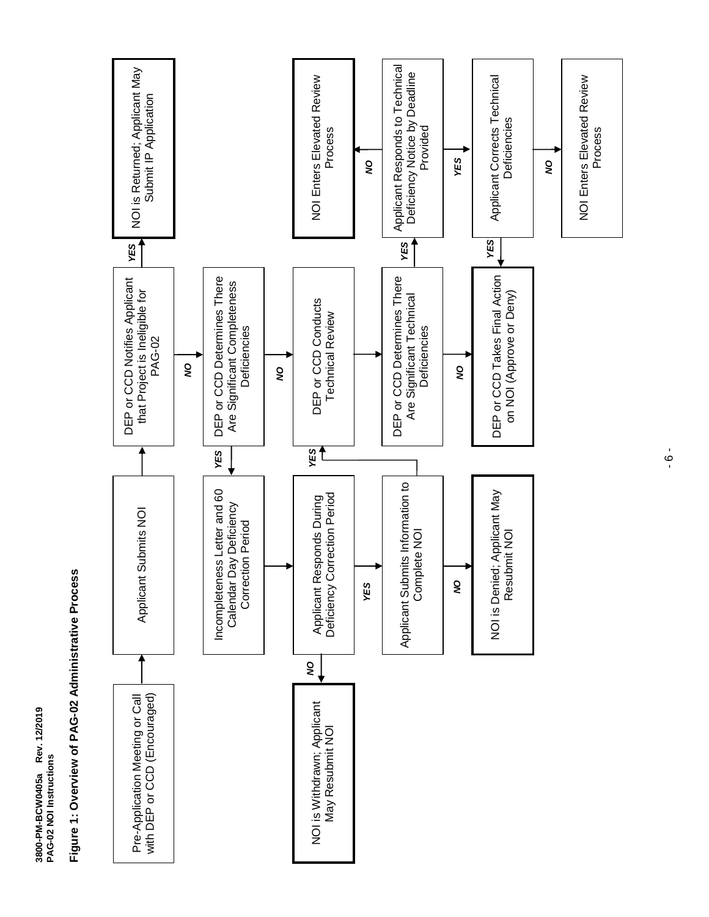Applicant Responds to Technical NOI is Returned; Applicant May<br>Submit IP Application Applicant Responds to Technical<br>Deficiency Notice by Deadline<br>Provided NOI is Returned; Applicant May NOI Enters Elevated Review Deficiency Notice by Deadline Applicant Corrects Technical NOI Enters Elevated Review **NOI Enters Elevated Review** Applicant Corrects Technical **NOI Enters Elevated Review** Submit IP Application Deficiencies **Deficiencies** Process Process YES *NO NO NO YES YES YES YES* DEP or CCD Takes Final Action DEP or CCD Determines There DEP or CCD Takes Final Action DEP or CCD Determines There DEP or CCD Determines There DEP or CCD Determines There DEP or CCD Notifies Applicant DEP or CCD Notifies Applicant Are Significant Completeness Are Significant Completeness that Project is Ineligible for<br>PAG-02 that Project is Ineligible for on NOI (Approve or Deny) Are Significant Technical on NOI (Approve or Deny) Are Significant Technical DEP or CCD Conducts DEP or CCD Conducts **Technical Review** Technical Review Deficiencies Deficiencies **Deficiencies Deficiencies** *NO NO NO YES YES* Applicant Submits Information to<br>Complete NOI Applicant Submits Information to Incompleteness Letter and 60 NOI is Denied; Applicant May Incompleteness Letter and 60 NOI is Denied; Applicant May Applicant Responds During<br>Deficiency Correction Period Applicant Responds During Deficiency Correction Period Calendar Day Deficiency Calendar Day Deficiency Applicant Submits NOI Applicant Submits NOI Correction Period Correction Period Complete NOI Resubmit NOI Resubmit NOI g *YES NO* Pre-Application Meeting or Call<br>with DEP or CCD (Encouraged) Pre-Application Meeting or Call with DEP or CCD (Encouraged) NOI is Withdrawn; Applicant<br>May Resubmit NOI NOI is Withdrawn; Applicant May Resubmit NOI

Figure 1: Overview of PAG-02 Administrative Process **Figure 1: Overview of PAG-02 Administrative Process**

**3800-PM-BCW0405a Rev. 12/2019**

3800-PM-BCW0405a Rev. 12/2019

**PAG-02 NOI Instructions**

PAG-02 NOI Instructions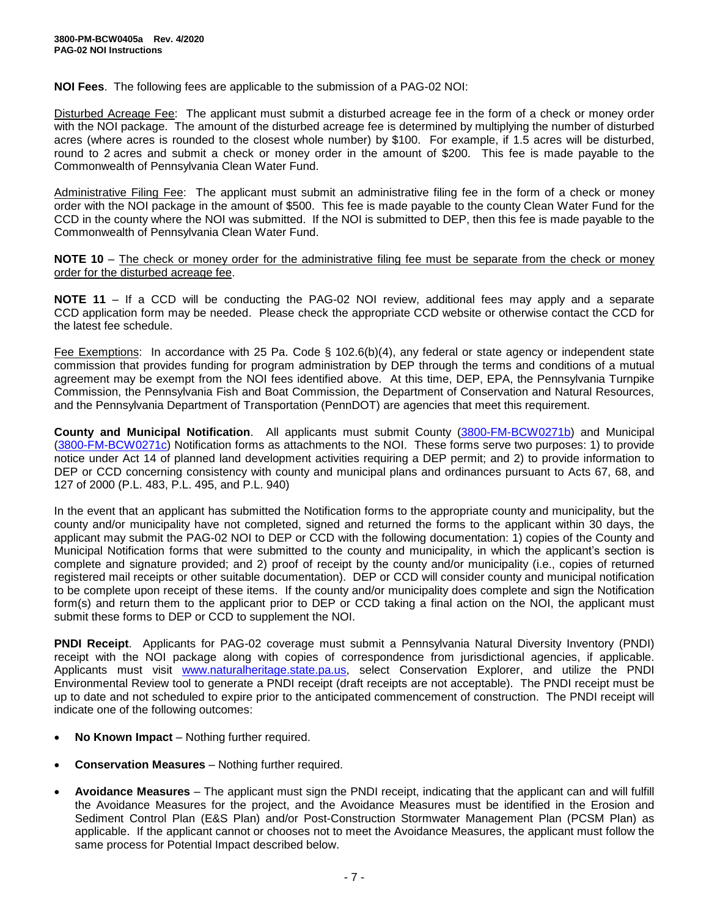**NOI Fees**. The following fees are applicable to the submission of a PAG-02 NOI:

Disturbed Acreage Fee: The applicant must submit a disturbed acreage fee in the form of a check or money order with the NOI package. The amount of the disturbed acreage fee is determined by multiplying the number of disturbed acres (where acres is rounded to the closest whole number) by \$100. For example, if 1.5 acres will be disturbed, round to 2 acres and submit a check or money order in the amount of \$200. This fee is made payable to the Commonwealth of Pennsylvania Clean Water Fund.

Administrative Filing Fee: The applicant must submit an administrative filing fee in the form of a check or money order with the NOI package in the amount of \$500. This fee is made payable to the county Clean Water Fund for the CCD in the county where the NOI was submitted. If the NOI is submitted to DEP, then this fee is made payable to the Commonwealth of Pennsylvania Clean Water Fund.

**NOTE 10** – The check or money order for the administrative filing fee must be separate from the check or money order for the disturbed acreage fee.

**NOTE 11** – If a CCD will be conducting the PAG-02 NOI review, additional fees may apply and a separate CCD application form may be needed. Please check the appropriate CCD website or otherwise contact the CCD for the latest fee schedule.

Fee Exemptions: In accordance with 25 Pa. Code § 102.6(b)(4), any federal or state agency or independent state commission that provides funding for program administration by DEP through the terms and conditions of a mutual agreement may be exempt from the NOI fees identified above. At this time, DEP, EPA, the Pennsylvania Turnpike Commission, the Pennsylvania Fish and Boat Commission, the Department of Conservation and Natural Resources, and the Pennsylvania Department of Transportation (PennDOT) are agencies that meet this requirement.

**County and Municipal Notification**. All applicants must submit County [\(3800-FM-BCW0271b\)](http://www.depgreenport.state.pa.us/elibrary/GetFolder?FolderID=2713) and Municipal [\(3800-FM-BCW0271c\)](http://www.depgreenport.state.pa.us/elibrary/GetFolder?FolderID=2713) Notification forms as attachments to the NOI. These forms serve two purposes: 1) to provide notice under Act 14 of planned land development activities requiring a DEP permit; and 2) to provide information to DEP or CCD concerning consistency with county and municipal plans and ordinances pursuant to Acts 67, 68, and 127 of 2000 (P.L. 483, P.L. 495, and P.L. 940)

In the event that an applicant has submitted the Notification forms to the appropriate county and municipality, but the county and/or municipality have not completed, signed and returned the forms to the applicant within 30 days, the applicant may submit the PAG-02 NOI to DEP or CCD with the following documentation: 1) copies of the County and Municipal Notification forms that were submitted to the county and municipality, in which the applicant's section is complete and signature provided; and 2) proof of receipt by the county and/or municipality (i.e., copies of returned registered mail receipts or other suitable documentation). DEP or CCD will consider county and municipal notification to be complete upon receipt of these items. If the county and/or municipality does complete and sign the Notification form(s) and return them to the applicant prior to DEP or CCD taking a final action on the NOI, the applicant must submit these forms to DEP or CCD to supplement the NOI.

**PNDI Receipt**. Applicants for PAG-02 coverage must submit a Pennsylvania Natural Diversity Inventory (PNDI) receipt with the NOI package along with copies of correspondence from jurisdictional agencies, if applicable. Applicants must visit [www.naturalheritage.state.pa.us,](http://www.naturalheritage.state.pa.us/) select Conservation Explorer, and utilize the PNDI Environmental Review tool to generate a PNDI receipt (draft receipts are not acceptable). The PNDI receipt must be up to date and not scheduled to expire prior to the anticipated commencement of construction. The PNDI receipt will indicate one of the following outcomes:

- **No Known Impact** Nothing further required.
- **Conservation Measures** Nothing further required.
- **Avoidance Measures** The applicant must sign the PNDI receipt, indicating that the applicant can and will fulfill the Avoidance Measures for the project, and the Avoidance Measures must be identified in the Erosion and Sediment Control Plan (E&S Plan) and/or Post-Construction Stormwater Management Plan (PCSM Plan) as applicable. If the applicant cannot or chooses not to meet the Avoidance Measures, the applicant must follow the same process for Potential Impact described below.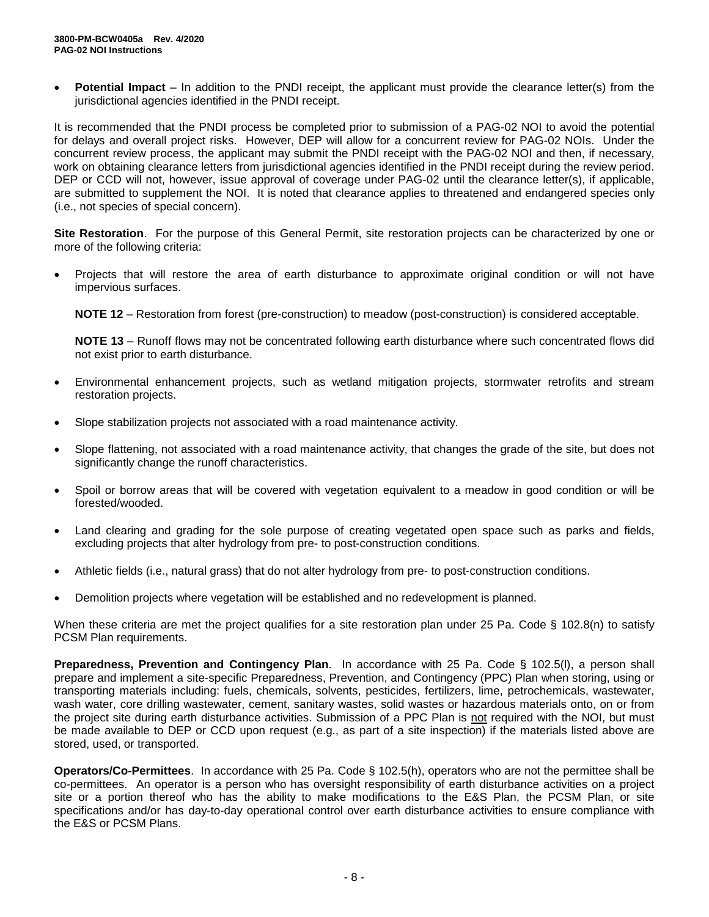**Potential Impact** – In addition to the PNDI receipt, the applicant must provide the clearance letter(s) from the jurisdictional agencies identified in the PNDI receipt.

It is recommended that the PNDI process be completed prior to submission of a PAG-02 NOI to avoid the potential for delays and overall project risks. However, DEP will allow for a concurrent review for PAG-02 NOIs. Under the concurrent review process, the applicant may submit the PNDI receipt with the PAG-02 NOI and then, if necessary, work on obtaining clearance letters from jurisdictional agencies identified in the PNDI receipt during the review period. DEP or CCD will not, however, issue approval of coverage under PAG-02 until the clearance letter(s), if applicable, are submitted to supplement the NOI. It is noted that clearance applies to threatened and endangered species only (i.e., not species of special concern).

**Site Restoration**. For the purpose of this General Permit, site restoration projects can be characterized by one or more of the following criteria:

• Projects that will restore the area of earth disturbance to approximate original condition or will not have impervious surfaces.

**NOTE 12** – Restoration from forest (pre-construction) to meadow (post-construction) is considered acceptable.

**NOTE 13** – Runoff flows may not be concentrated following earth disturbance where such concentrated flows did not exist prior to earth disturbance.

- Environmental enhancement projects, such as wetland mitigation projects, stormwater retrofits and stream restoration projects.
- Slope stabilization projects not associated with a road maintenance activity.
- Slope flattening, not associated with a road maintenance activity, that changes the grade of the site, but does not significantly change the runoff characteristics.
- Spoil or borrow areas that will be covered with vegetation equivalent to a meadow in good condition or will be forested/wooded.
- Land clearing and grading for the sole purpose of creating vegetated open space such as parks and fields, excluding projects that alter hydrology from pre- to post-construction conditions.
- Athletic fields (i.e., natural grass) that do not alter hydrology from pre- to post-construction conditions.
- Demolition projects where vegetation will be established and no redevelopment is planned.

When these criteria are met the project qualifies for a site restoration plan under 25 Pa. Code § 102.8(n) to satisfy PCSM Plan requirements.

**Preparedness, Prevention and Contingency Plan**. In accordance with 25 Pa. Code § 102.5(l), a person shall prepare and implement a site-specific Preparedness, Prevention, and Contingency (PPC) Plan when storing, using or transporting materials including: fuels, chemicals, solvents, pesticides, fertilizers, lime, petrochemicals, wastewater, wash water, core drilling wastewater, cement, sanitary wastes, solid wastes or hazardous materials onto, on or from the project site during earth disturbance activities. Submission of a PPC Plan is not required with the NOI, but must be made available to DEP or CCD upon request (e.g., as part of a site inspection) if the materials listed above are stored, used, or transported.

**Operators/Co-Permittees**. In accordance with 25 Pa. Code § 102.5(h), operators who are not the permittee shall be co-permittees. An operator is a person who has oversight responsibility of earth disturbance activities on a project site or a portion thereof who has the ability to make modifications to the E&S Plan, the PCSM Plan, or site specifications and/or has day-to-day operational control over earth disturbance activities to ensure compliance with the E&S or PCSM Plans.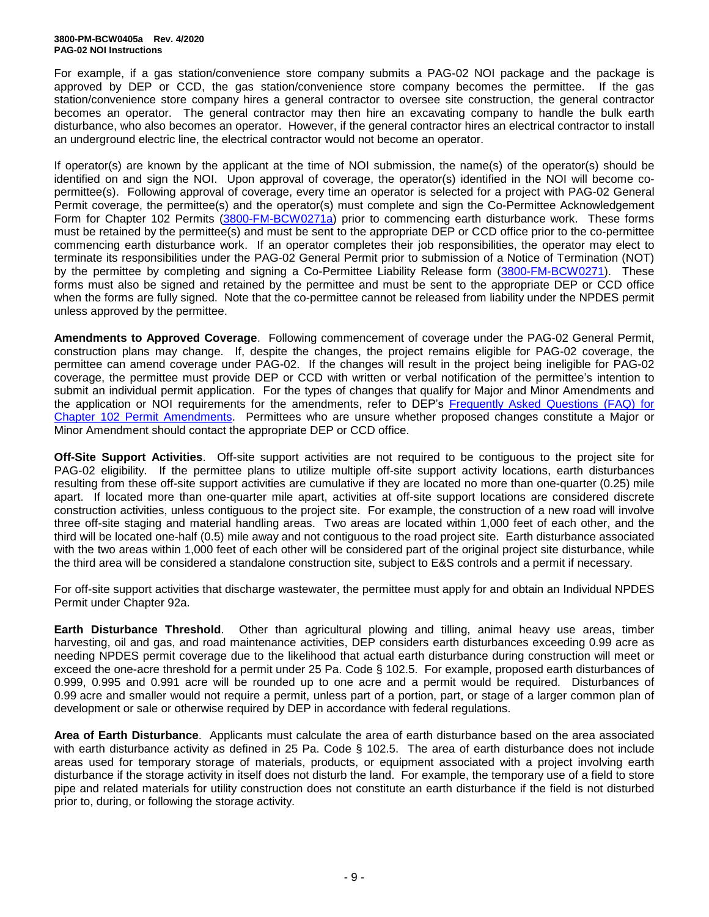#### **3800-PM-BCW0405a Rev. 4/2020 PAG-02 NOI Instructions**

For example, if a gas station/convenience store company submits a PAG-02 NOI package and the package is approved by DEP or CCD, the gas station/convenience store company becomes the permittee. If the gas station/convenience store company hires a general contractor to oversee site construction, the general contractor becomes an operator. The general contractor may then hire an excavating company to handle the bulk earth disturbance, who also becomes an operator. However, if the general contractor hires an electrical contractor to install an underground electric line, the electrical contractor would not become an operator.

If operator(s) are known by the applicant at the time of NOI submission, the name(s) of the operator(s) should be identified on and sign the NOI. Upon approval of coverage, the operator(s) identified in the NOI will become copermittee(s). Following approval of coverage, every time an operator is selected for a project with PAG-02 General Permit coverage, the permittee(s) and the operator(s) must complete and sign the Co-Permittee Acknowledgement Form for Chapter 102 Permits [\(3800-FM-BCW0271a\)](http://www.depgreenport.state.pa.us/elibrary/GetFolder?FolderID=2713) prior to commencing earth disturbance work. These forms must be retained by the permittee(s) and must be sent to the appropriate DEP or CCD office prior to the co-permittee commencing earth disturbance work. If an operator completes their job responsibilities, the operator may elect to terminate its responsibilities under the PAG-02 General Permit prior to submission of a Notice of Termination (NOT) by the permittee by completing and signing a Co-Permittee Liability Release form [\(3800-FM-BCW0271\)](http://www.depgreenport.state.pa.us/elibrary/GetFolder?FolderID=2713). These forms must also be signed and retained by the permittee and must be sent to the appropriate DEP or CCD office when the forms are fully signed. Note that the co-permittee cannot be released from liability under the NPDES permit unless approved by the permittee.

**Amendments to Approved Coverage**. Following commencement of coverage under the PAG-02 General Permit, construction plans may change. If, despite the changes, the project remains eligible for PAG-02 coverage, the permittee can amend coverage under PAG-02. If the changes will result in the project being ineligible for PAG-02 coverage, the permittee must provide DEP or CCD with written or verbal notification of the permittee's intention to submit an individual permit application. For the types of changes that qualify for Major and Minor Amendments and the application or NOI requirements for the amendments, refer to DEP's Frequently Asked [Questions \(FAQ\) for](http://files.dep.state.pa.us/Water/BPNPSM/StormwaterManagement/ConstructionStormwater/Chapter_102_Permit_Amendments_FAQ.pdf)  Chapter 102 [Permit Amendments.](http://files.dep.state.pa.us/Water/BPNPSM/StormwaterManagement/ConstructionStormwater/Chapter_102_Permit_Amendments_FAQ.pdf) Permittees who are unsure whether proposed changes constitute a Major or Minor Amendment should contact the appropriate DEP or CCD office.

**Off-Site Support Activities**. Off-site support activities are not required to be contiguous to the project site for PAG-02 eligibility. If the permittee plans to utilize multiple off-site support activity locations, earth disturbances resulting from these off-site support activities are cumulative if they are located no more than one-quarter (0.25) mile apart. If located more than one-quarter mile apart, activities at off-site support locations are considered discrete construction activities, unless contiguous to the project site. For example, the construction of a new road will involve three off-site staging and material handling areas. Two areas are located within 1,000 feet of each other, and the third will be located one-half (0.5) mile away and not contiguous to the road project site. Earth disturbance associated with the two areas within 1,000 feet of each other will be considered part of the original project site disturbance, while the third area will be considered a standalone construction site, subject to E&S controls and a permit if necessary.

For off-site support activities that discharge wastewater, the permittee must apply for and obtain an Individual NPDES Permit under Chapter 92a.

**Earth Disturbance Threshold**. Other than agricultural plowing and tilling, animal heavy use areas, timber harvesting, oil and gas, and road maintenance activities, DEP considers earth disturbances exceeding 0.99 acre as needing NPDES permit coverage due to the likelihood that actual earth disturbance during construction will meet or exceed the one-acre threshold for a permit under 25 Pa. Code § 102.5. For example, proposed earth disturbances of 0.999, 0.995 and 0.991 acre will be rounded up to one acre and a permit would be required. Disturbances of 0.99 acre and smaller would not require a permit, unless part of a portion, part, or stage of a larger common plan of development or sale or otherwise required by DEP in accordance with federal regulations.

**Area of Earth Disturbance**. Applicants must calculate the area of earth disturbance based on the area associated with earth disturbance activity as defined in 25 Pa. Code § 102.5. The area of earth disturbance does not include areas used for temporary storage of materials, products, or equipment associated with a project involving earth disturbance if the storage activity in itself does not disturb the land. For example, the temporary use of a field to store pipe and related materials for utility construction does not constitute an earth disturbance if the field is not disturbed prior to, during, or following the storage activity.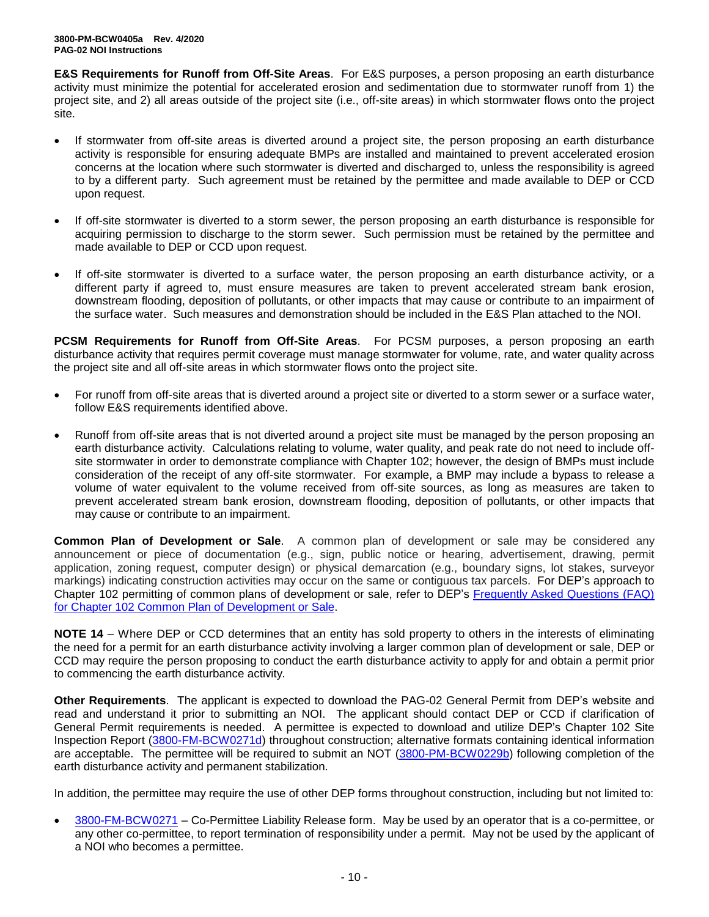**E&S Requirements for Runoff from Off-Site Areas**. For E&S purposes, a person proposing an earth disturbance activity must minimize the potential for accelerated erosion and sedimentation due to stormwater runoff from 1) the project site, and 2) all areas outside of the project site (i.e., off-site areas) in which stormwater flows onto the project site.

- If stormwater from off-site areas is diverted around a project site, the person proposing an earth disturbance activity is responsible for ensuring adequate BMPs are installed and maintained to prevent accelerated erosion concerns at the location where such stormwater is diverted and discharged to, unless the responsibility is agreed to by a different party. Such agreement must be retained by the permittee and made available to DEP or CCD upon request.
- If off-site stormwater is diverted to a storm sewer, the person proposing an earth disturbance is responsible for acquiring permission to discharge to the storm sewer. Such permission must be retained by the permittee and made available to DEP or CCD upon request.
- If off-site stormwater is diverted to a surface water, the person proposing an earth disturbance activity, or a different party if agreed to, must ensure measures are taken to prevent accelerated stream bank erosion, downstream flooding, deposition of pollutants, or other impacts that may cause or contribute to an impairment of the surface water. Such measures and demonstration should be included in the E&S Plan attached to the NOI.

**PCSM Requirements for Runoff from Off-Site Areas**. For PCSM purposes, a person proposing an earth disturbance activity that requires permit coverage must manage stormwater for volume, rate, and water quality across the project site and all off-site areas in which stormwater flows onto the project site.

- For runoff from off-site areas that is diverted around a project site or diverted to a storm sewer or a surface water, follow E&S requirements identified above.
- Runoff from off-site areas that is not diverted around a project site must be managed by the person proposing an earth disturbance activity. Calculations relating to volume, water quality, and peak rate do not need to include offsite stormwater in order to demonstrate compliance with Chapter 102; however, the design of BMPs must include consideration of the receipt of any off-site stormwater. For example, a BMP may include a bypass to release a volume of water equivalent to the volume received from off-site sources, as long as measures are taken to prevent accelerated stream bank erosion, downstream flooding, deposition of pollutants, or other impacts that may cause or contribute to an impairment.

**Common Plan of Development or Sale**. A common plan of development or sale may be considered any announcement or piece of documentation (e.g., sign, public notice or hearing, advertisement, drawing, permit application, zoning request, computer design) or physical demarcation (e.g., boundary signs, lot stakes, surveyor markings) indicating construction activities may occur on the same or contiguous tax parcels. For DEP's approach to Chapter 102 permitting of common plans of development or sale, refer to DEP's [Frequently Asked Questions \(FAQ\)](http://files.dep.state.pa.us/Water/BPNPSM/StormwaterManagement/ConstructionStormwater/Common_Plan_FAQ.pdf)  for Chapter 102 [Common Plan of Development](http://files.dep.state.pa.us/Water/BPNPSM/StormwaterManagement/ConstructionStormwater/Common_Plan_FAQ.pdf) or Sale.

**NOTE 14** – Where DEP or CCD determines that an entity has sold property to others in the interests of eliminating the need for a permit for an earth disturbance activity involving a larger common plan of development or sale, DEP or CCD may require the person proposing to conduct the earth disturbance activity to apply for and obtain a permit prior to commencing the earth disturbance activity.

**Other Requirements**. The applicant is expected to download the PAG-02 General Permit from DEP's website and read and understand it prior to submitting an NOI. The applicant should contact DEP or CCD if clarification of General Permit requirements is needed. A permittee is expected to download and utilize DEP's Chapter 102 Site Inspection Report [\(3800-FM-BCW0271d\)](http://www.depgreenport.state.pa.us/elibrary/GetFolder?FolderID=2713) throughout construction; alternative formats containing identical information are acceptable. The permittee will be required to submit an NOT [\(3800-PM-BCW0229b\)](http://www.depgreenport.state.pa.us/elibrary/GetFolder?FolderID=3668) following completion of the earth disturbance activity and permanent stabilization.

In addition, the permittee may require the use of other DEP forms throughout construction, including but not limited to:

• [3800-FM-BCW0271](http://www.depgreenport.state.pa.us/elibrary/GetFolder?FolderID=2713) – Co-Permittee Liability Release form. May be used by an operator that is a co-permittee, or any other co-permittee, to report termination of responsibility under a permit. May not be used by the applicant of a NOI who becomes a permittee.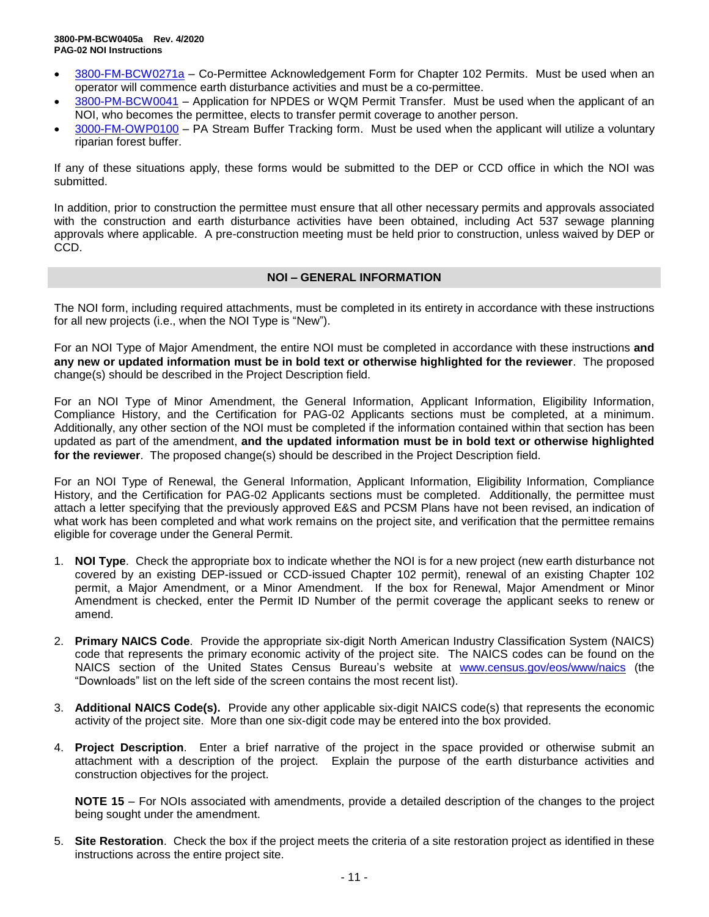- [3800-FM-BCW0271a](http://www.depgreenport.state.pa.us/elibrary/GetFolder?FolderID=2713) Co-Permittee Acknowledgement Form for Chapter 102 Permits. Must be used when an operator will commence earth disturbance activities and must be a co-permittee.
- [3800-PM-BCW0041](http://www.depgreenport.state.pa.us/elibrary/GetFolder?FolderID=3665) Application for NPDES or WQM Permit Transfer. Must be used when the applicant of an NOI, who becomes the permittee, elects to transfer permit coverage to another person.
- [3000-FM-OWP0100](http://www.depgreenport.state.pa.us/elibrary/GetDocument?docId=1445675&DocName=PA%20STREAM%20BUFFER%20TRACKING%20FORM.PDF%20%20%3Cspan%20style%3D%22color%3Agreen%3B%22%3E%3C%2Fspan%3E%20%3Cspan%20style%3D%22color%3Ablue%3B%22%3E%3C%2Fspan%3E) PA Stream Buffer Tracking form. Must be used when the applicant will utilize a voluntary riparian forest buffer.

If any of these situations apply, these forms would be submitted to the DEP or CCD office in which the NOI was submitted.

In addition, prior to construction the permittee must ensure that all other necessary permits and approvals associated with the construction and earth disturbance activities have been obtained, including Act 537 sewage planning approvals where applicable. A pre-construction meeting must be held prior to construction, unless waived by DEP or CCD.

### **NOI – GENERAL INFORMATION**

The NOI form, including required attachments, must be completed in its entirety in accordance with these instructions for all new projects (i.e., when the NOI Type is "New").

For an NOI Type of Major Amendment, the entire NOI must be completed in accordance with these instructions **and any new or updated information must be in bold text or otherwise highlighted for the reviewer**. The proposed change(s) should be described in the Project Description field.

For an NOI Type of Minor Amendment, the General Information, Applicant Information, Eligibility Information, Compliance History, and the Certification for PAG-02 Applicants sections must be completed, at a minimum. Additionally, any other section of the NOI must be completed if the information contained within that section has been updated as part of the amendment, **and the updated information must be in bold text or otherwise highlighted for the reviewer**. The proposed change(s) should be described in the Project Description field.

For an NOI Type of Renewal, the General Information, Applicant Information, Eligibility Information, Compliance History, and the Certification for PAG-02 Applicants sections must be completed. Additionally, the permittee must attach a letter specifying that the previously approved E&S and PCSM Plans have not been revised, an indication of what work has been completed and what work remains on the project site, and verification that the permittee remains eligible for coverage under the General Permit.

- 1. **NOI Type**. Check the appropriate box to indicate whether the NOI is for a new project (new earth disturbance not covered by an existing DEP-issued or CCD-issued Chapter 102 permit), renewal of an existing Chapter 102 permit, a Major Amendment, or a Minor Amendment. If the box for Renewal, Major Amendment or Minor Amendment is checked, enter the Permit ID Number of the permit coverage the applicant seeks to renew or amend.
- 2. **Primary NAICS Code**. Provide the appropriate six-digit North American Industry Classification System (NAICS) code that represents the primary economic activity of the project site. The NAICS codes can be found on the NAICS section of the United States Census Bureau's website at [www.census.gov/eos/www/naics](http://www.census.gov/eos/www/naics) (the "Downloads" list on the left side of the screen contains the most recent list).
- 3. **Additional NAICS Code(s).** Provide any other applicable six-digit NAICS code(s) that represents the economic activity of the project site. More than one six-digit code may be entered into the box provided.
- 4. **Project Description**. Enter a brief narrative of the project in the space provided or otherwise submit an attachment with a description of the project. Explain the purpose of the earth disturbance activities and construction objectives for the project.

**NOTE 15** – For NOIs associated with amendments, provide a detailed description of the changes to the project being sought under the amendment.

5. **Site Restoration**. Check the box if the project meets the criteria of a site restoration project as identified in these instructions across the entire project site.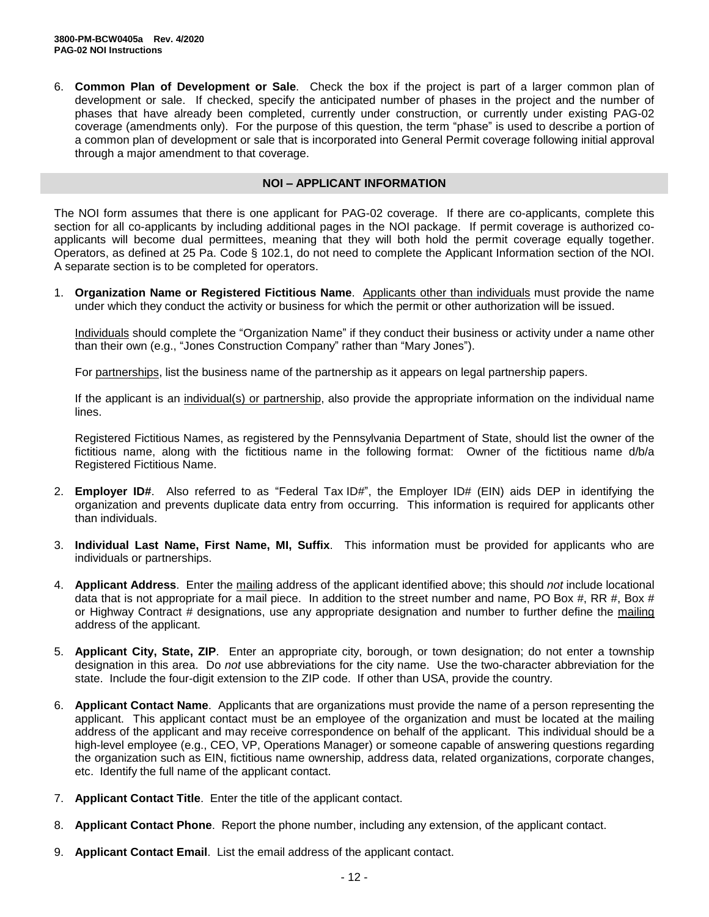6. **Common Plan of Development or Sale**. Check the box if the project is part of a larger common plan of development or sale. If checked, specify the anticipated number of phases in the project and the number of phases that have already been completed, currently under construction, or currently under existing PAG-02 coverage (amendments only). For the purpose of this question, the term "phase" is used to describe a portion of a common plan of development or sale that is incorporated into General Permit coverage following initial approval through a major amendment to that coverage.

#### **NOI – APPLICANT INFORMATION**

The NOI form assumes that there is one applicant for PAG-02 coverage. If there are co-applicants, complete this section for all co-applicants by including additional pages in the NOI package. If permit coverage is authorized coapplicants will become dual permittees, meaning that they will both hold the permit coverage equally together. Operators, as defined at 25 Pa. Code § 102.1, do not need to complete the Applicant Information section of the NOI. A separate section is to be completed for operators.

1. **Organization Name or Registered Fictitious Name**. Applicants other than individuals must provide the name under which they conduct the activity or business for which the permit or other authorization will be issued.

Individuals should complete the "Organization Name" if they conduct their business or activity under a name other than their own (e.g., "Jones Construction Company" rather than "Mary Jones").

For partnerships, list the business name of the partnership as it appears on legal partnership papers.

If the applicant is an individual(s) or partnership, also provide the appropriate information on the individual name lines.

Registered Fictitious Names, as registered by the Pennsylvania Department of State, should list the owner of the fictitious name, along with the fictitious name in the following format: Owner of the fictitious name d/b/a Registered Fictitious Name.

- 2. **Employer ID#**. Also referred to as "Federal Tax ID#", the Employer ID# (EIN) aids DEP in identifying the organization and prevents duplicate data entry from occurring. This information is required for applicants other than individuals.
- 3. **Individual Last Name, First Name, MI, Suffix**. This information must be provided for applicants who are individuals or partnerships.
- 4. **Applicant Address**. Enter the mailing address of the applicant identified above; this should *not* include locational data that is not appropriate for a mail piece. In addition to the street number and name, PO Box #, RR #, Box # or Highway Contract # designations, use any appropriate designation and number to further define the mailing address of the applicant.
- 5. **Applicant City, State, ZIP**. Enter an appropriate city, borough, or town designation; do not enter a township designation in this area. Do *not* use abbreviations for the city name. Use the two-character abbreviation for the state. Include the four-digit extension to the ZIP code. If other than USA, provide the country.
- 6. **Applicant Contact Name**. Applicants that are organizations must provide the name of a person representing the applicant. This applicant contact must be an employee of the organization and must be located at the mailing address of the applicant and may receive correspondence on behalf of the applicant. This individual should be a high-level employee (e.g., CEO, VP, Operations Manager) or someone capable of answering questions regarding the organization such as EIN, fictitious name ownership, address data, related organizations, corporate changes, etc. Identify the full name of the applicant contact.
- 7. **Applicant Contact Title**. Enter the title of the applicant contact.
- 8. **Applicant Contact Phone**. Report the phone number, including any extension, of the applicant contact.
- 9. **Applicant Contact Email**. List the email address of the applicant contact.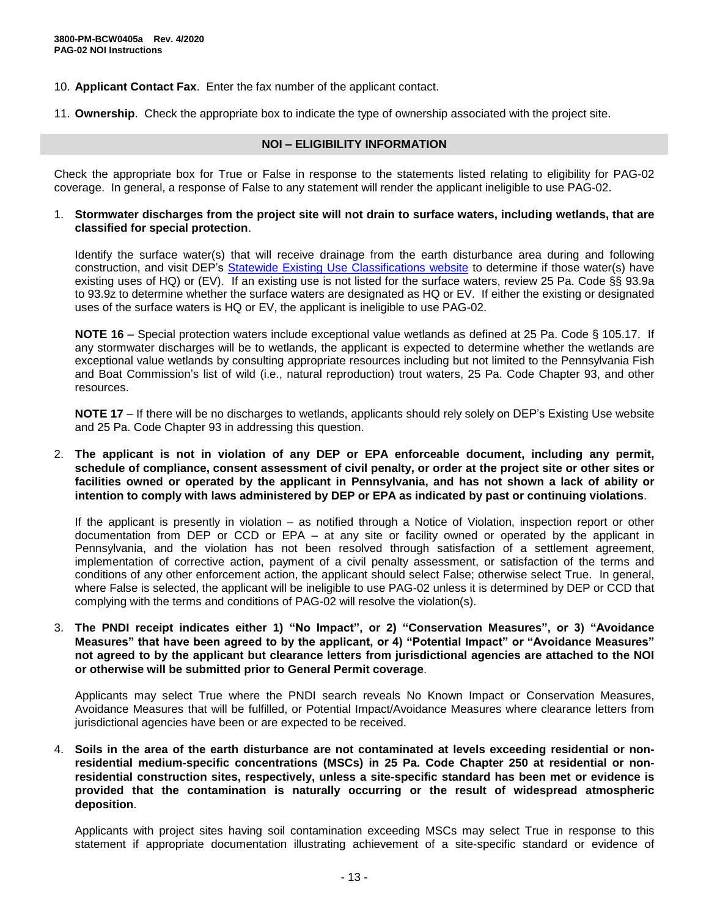- 10. **Applicant Contact Fax**. Enter the fax number of the applicant contact.
- 11. **Ownership**. Check the appropriate box to indicate the type of ownership associated with the project site.

#### **NOI – ELIGIBILITY INFORMATION**

Check the appropriate box for True or False in response to the statements listed relating to eligibility for PAG-02 coverage. In general, a response of False to any statement will render the applicant ineligible to use PAG-02.

#### 1. **Stormwater discharges from the project site will not drain to surface waters, including wetlands, that are classified for special protection**.

Identify the surface water(s) that will receive drainage from the earth disturbance area during and following construction, and visit DEP's [Statewide Existing Use Classifications website](https://www.dep.pa.gov/Business/Water/CleanWater/WaterQuality/StreamRedesignations/Pages/Statewide-Existing-Use-Classifications.aspx) to determine if those water(s) have existing uses of HQ) or (EV). If an existing use is not listed for the surface waters, review 25 Pa. Code §§ 93.9a to 93.9z to determine whether the surface waters are designated as HQ or EV. If either the existing or designated uses of the surface waters is HQ or EV, the applicant is ineligible to use PAG-02.

**NOTE 16** – Special protection waters include exceptional value wetlands as defined at 25 Pa. Code § 105.17. If any stormwater discharges will be to wetlands, the applicant is expected to determine whether the wetlands are exceptional value wetlands by consulting appropriate resources including but not limited to the Pennsylvania Fish and Boat Commission's list of wild (i.e., natural reproduction) trout waters, 25 Pa. Code Chapter 93, and other resources.

**NOTE 17** – If there will be no discharges to wetlands, applicants should rely solely on DEP's Existing Use website and 25 Pa. Code Chapter 93 in addressing this question.

2. **The applicant is not in violation of any DEP or EPA enforceable document, including any permit, schedule of compliance, consent assessment of civil penalty, or order at the project site or other sites or facilities owned or operated by the applicant in Pennsylvania, and has not shown a lack of ability or intention to comply with laws administered by DEP or EPA as indicated by past or continuing violations**.

If the applicant is presently in violation – as notified through a Notice of Violation, inspection report or other documentation from DEP or CCD or EPA – at any site or facility owned or operated by the applicant in Pennsylvania, and the violation has not been resolved through satisfaction of a settlement agreement, implementation of corrective action, payment of a civil penalty assessment, or satisfaction of the terms and conditions of any other enforcement action, the applicant should select False; otherwise select True. In general, where False is selected, the applicant will be ineligible to use PAG-02 unless it is determined by DEP or CCD that complying with the terms and conditions of PAG-02 will resolve the violation(s).

3. **The PNDI receipt indicates either 1) "No Impact", or 2) "Conservation Measures", or 3) "Avoidance Measures" that have been agreed to by the applicant, or 4) "Potential Impact" or "Avoidance Measures" not agreed to by the applicant but clearance letters from jurisdictional agencies are attached to the NOI or otherwise will be submitted prior to General Permit coverage**.

Applicants may select True where the PNDI search reveals No Known Impact or Conservation Measures, Avoidance Measures that will be fulfilled, or Potential Impact/Avoidance Measures where clearance letters from jurisdictional agencies have been or are expected to be received.

4. **Soils in the area of the earth disturbance are not contaminated at levels exceeding residential or nonresidential medium-specific concentrations (MSCs) in 25 Pa. Code Chapter 250 at residential or nonresidential construction sites, respectively, unless a site-specific standard has been met or evidence is provided that the contamination is naturally occurring or the result of widespread atmospheric deposition**.

Applicants with project sites having soil contamination exceeding MSCs may select True in response to this statement if appropriate documentation illustrating achievement of a site-specific standard or evidence of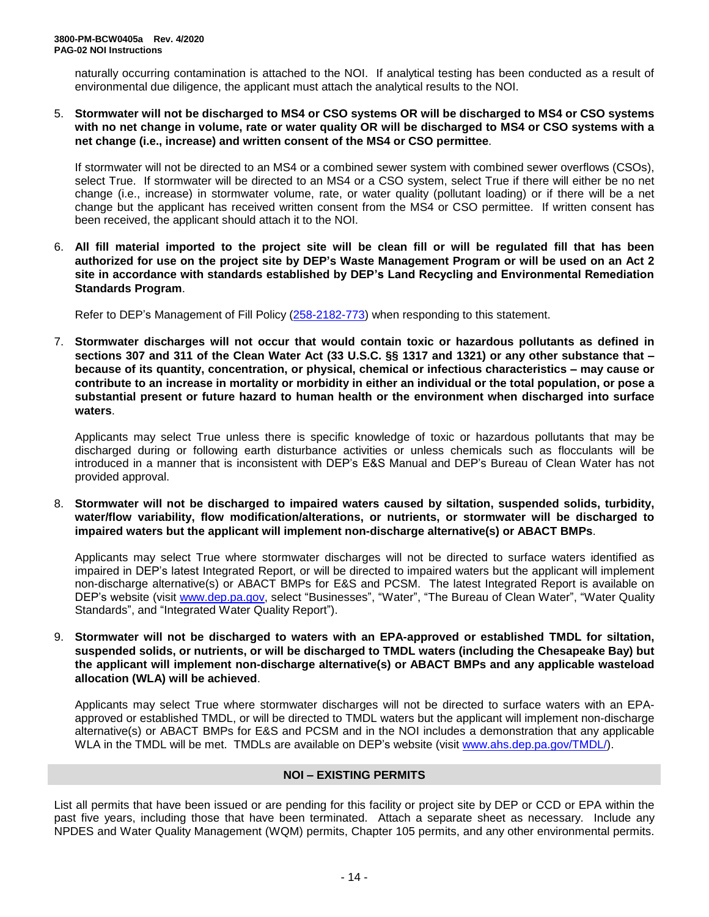naturally occurring contamination is attached to the NOI. If analytical testing has been conducted as a result of environmental due diligence, the applicant must attach the analytical results to the NOI.

5. **Stormwater will not be discharged to MS4 or CSO systems OR will be discharged to MS4 or CSO systems with no net change in volume, rate or water quality OR will be discharged to MS4 or CSO systems with a net change (i.e., increase) and written consent of the MS4 or CSO permittee**.

If stormwater will not be directed to an MS4 or a combined sewer system with combined sewer overflows (CSOs), select True. If stormwater will be directed to an MS4 or a CSO system, select True if there will either be no net change (i.e., increase) in stormwater volume, rate, or water quality (pollutant loading) or if there will be a net change but the applicant has received written consent from the MS4 or CSO permittee. If written consent has been received, the applicant should attach it to the NOI.

6. **All fill material imported to the project site will be clean fill or will be regulated fill that has been authorized for use on the project site by DEP's Waste Management Program or will be used on an Act 2 site in accordance with standards established by DEP's Land Recycling and Environmental Remediation Standards Program**.

Refer to DEP's Management of Fill Policy [\(258-2182-773\)](http://www.depgreenport.state.pa.us/elibrary/GetFolder?FolderID=4647) when responding to this statement.

7. **Stormwater discharges will not occur that would contain toxic or hazardous pollutants as defined in sections 307 and 311 of the Clean Water Act (33 U.S.C. §§ 1317 and 1321) or any other substance that – because of its quantity, concentration, or physical, chemical or infectious characteristics – may cause or contribute to an increase in mortality or morbidity in either an individual or the total population, or pose a substantial present or future hazard to human health or the environment when discharged into surface waters**.

Applicants may select True unless there is specific knowledge of toxic or hazardous pollutants that may be discharged during or following earth disturbance activities or unless chemicals such as flocculants will be introduced in a manner that is inconsistent with DEP's E&S Manual and DEP's Bureau of Clean Water has not provided approval.

8. **Stormwater will not be discharged to impaired waters caused by siltation, suspended solids, turbidity, water/flow variability, flow modification/alterations, or nutrients, or stormwater will be discharged to impaired waters but the applicant will implement non-discharge alternative(s) or ABACT BMPs**.

Applicants may select True where stormwater discharges will not be directed to surface waters identified as impaired in DEP's latest Integrated Report, or will be directed to impaired waters but the applicant will implement non-discharge alternative(s) or ABACT BMPs for E&S and PCSM. The latest Integrated Report is available on DEP's website (visit [www.dep.pa.gov,](../../../../../../../../../csolloway/AppData/Local/AppData/Local/Microsoft/Windows/INetCache/chriryder/AppData/Local/Microsoft/Windows/INetCache/Content.Outlook/Proposed%20Final%20Permit/www.dep.pa.gov) select "Businesses", "Water", "The Bureau of Clean Water", "Water Quality Standards", and "Integrated Water Quality Report").

9. **Stormwater will not be discharged to waters with an EPA-approved or established TMDL for siltation, suspended solids, or nutrients, or will be discharged to TMDL waters (including the Chesapeake Bay) but the applicant will implement non-discharge alternative(s) or ABACT BMPs and any applicable wasteload allocation (WLA) will be achieved**.

Applicants may select True where stormwater discharges will not be directed to surface waters with an EPAapproved or established TMDL, or will be directed to TMDL waters but the applicant will implement non-discharge alternative(s) or ABACT BMPs for E&S and PCSM and in the NOI includes a demonstration that any applicable WLA in the TMDL will be met. TMDLs are available on DEP's website (visit [www.ahs.dep.pa.gov/TMDL/\)](../../../../../../../../../csolloway/AppData/Local/AppData/Local/Microsoft/Windows/INetCache/chriryder/AppData/Local/Microsoft/Windows/INetCache/Content.Outlook/MEEHO6AK/www.ahs.dep.pa.gov/TMDL/).

### **NOI – EXISTING PERMITS**

List all permits that have been issued or are pending for this facility or project site by DEP or CCD or EPA within the past five years, including those that have been terminated. Attach a separate sheet as necessary. Include any NPDES and Water Quality Management (WQM) permits, Chapter 105 permits, and any other environmental permits.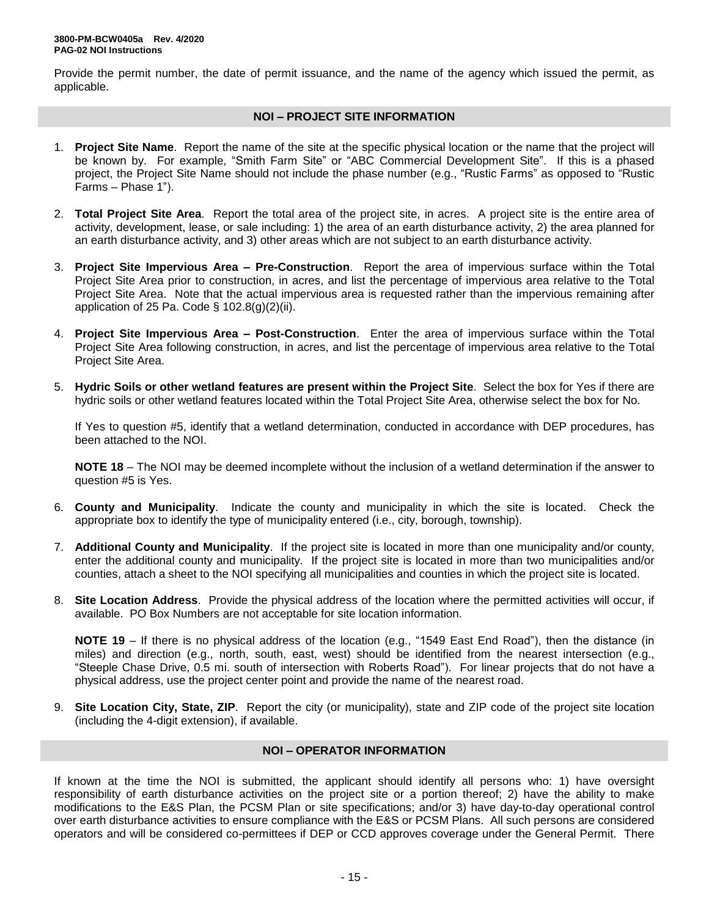Provide the permit number, the date of permit issuance, and the name of the agency which issued the permit, as applicable.

#### **NOI – PROJECT SITE INFORMATION**

- 1. **Project Site Name**. Report the name of the site at the specific physical location or the name that the project will be known by. For example, "Smith Farm Site" or "ABC Commercial Development Site". If this is a phased project, the Project Site Name should not include the phase number (e.g., "Rustic Farms" as opposed to "Rustic Farms – Phase 1").
- 2. **Total Project Site Area**. Report the total area of the project site, in acres. A project site is the entire area of activity, development, lease, or sale including: 1) the area of an earth disturbance activity, 2) the area planned for an earth disturbance activity, and 3) other areas which are not subject to an earth disturbance activity.
- 3. **Project Site Impervious Area – Pre-Construction**. Report the area of impervious surface within the Total Project Site Area prior to construction, in acres, and list the percentage of impervious area relative to the Total Project Site Area. Note that the actual impervious area is requested rather than the impervious remaining after application of 25 Pa. Code  $\S$  102.8(g)(2)(ii).
- 4. **Project Site Impervious Area – Post-Construction**. Enter the area of impervious surface within the Total Project Site Area following construction, in acres, and list the percentage of impervious area relative to the Total Project Site Area.
- 5. **Hydric Soils or other wetland features are present within the Project Site**. Select the box for Yes if there are hydric soils or other wetland features located within the Total Project Site Area, otherwise select the box for No.

If Yes to question #5, identify that a wetland determination, conducted in accordance with DEP procedures, has been attached to the NOI.

**NOTE 18** – The NOI may be deemed incomplete without the inclusion of a wetland determination if the answer to question #5 is Yes.

- 6. **County and Municipality**. Indicate the county and municipality in which the site is located. Check the appropriate box to identify the type of municipality entered (i.e., city, borough, township).
- 7. **Additional County and Municipality**. If the project site is located in more than one municipality and/or county, enter the additional county and municipality. If the project site is located in more than two municipalities and/or counties, attach a sheet to the NOI specifying all municipalities and counties in which the project site is located.
- 8. **Site Location Address**. Provide the physical address of the location where the permitted activities will occur, if available. PO Box Numbers are not acceptable for site location information.

**NOTE 19** – If there is no physical address of the location (e.g., "1549 East End Road"), then the distance (in miles) and direction (e.g., north, south, east, west) should be identified from the nearest intersection (e.g., "Steeple Chase Drive, 0.5 mi. south of intersection with Roberts Road"). For linear projects that do not have a physical address, use the project center point and provide the name of the nearest road.

9. **Site Location City, State, ZIP**. Report the city (or municipality), state and ZIP code of the project site location (including the 4-digit extension), if available.

### **NOI – OPERATOR INFORMATION**

If known at the time the NOI is submitted, the applicant should identify all persons who: 1) have oversight responsibility of earth disturbance activities on the project site or a portion thereof; 2) have the ability to make modifications to the E&S Plan, the PCSM Plan or site specifications; and/or 3) have day-to-day operational control over earth disturbance activities to ensure compliance with the E&S or PCSM Plans. All such persons are considered operators and will be considered co-permittees if DEP or CCD approves coverage under the General Permit. There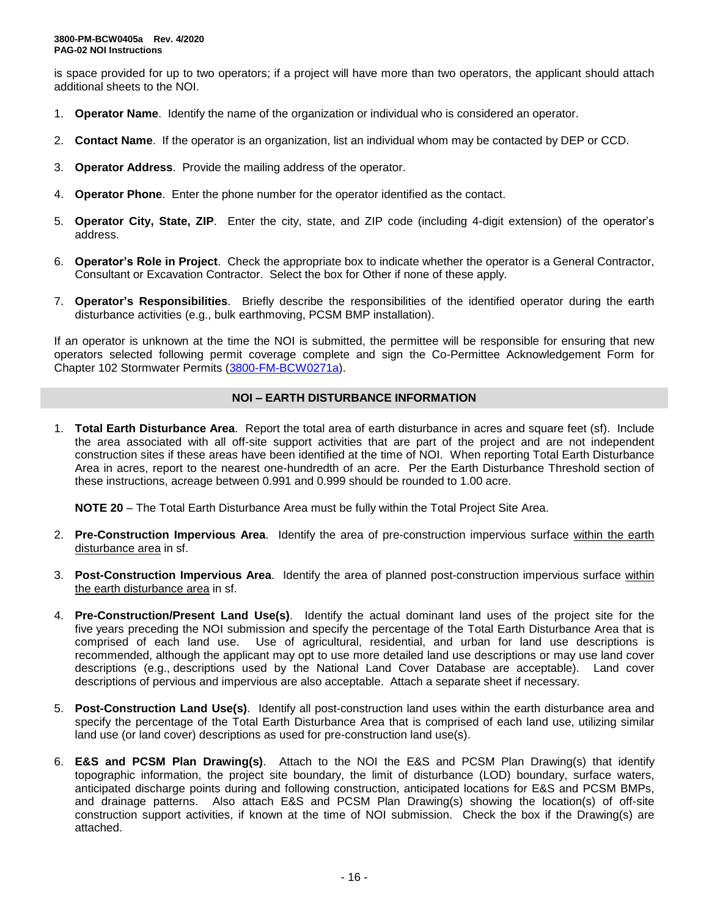is space provided for up to two operators; if a project will have more than two operators, the applicant should attach additional sheets to the NOI.

- 1. **Operator Name**. Identify the name of the organization or individual who is considered an operator.
- 2. **Contact Name**. If the operator is an organization, list an individual whom may be contacted by DEP or CCD.
- 3. **Operator Address**. Provide the mailing address of the operator.
- 4. **Operator Phone**. Enter the phone number for the operator identified as the contact.
- 5. **Operator City, State, ZIP**. Enter the city, state, and ZIP code (including 4-digit extension) of the operator's address.
- 6. **Operator's Role in Project**. Check the appropriate box to indicate whether the operator is a General Contractor, Consultant or Excavation Contractor. Select the box for Other if none of these apply.
- 7. **Operator's Responsibilities**. Briefly describe the responsibilities of the identified operator during the earth disturbance activities (e.g., bulk earthmoving, PCSM BMP installation).

If an operator is unknown at the time the NOI is submitted, the permittee will be responsible for ensuring that new operators selected following permit coverage complete and sign the Co-Permittee Acknowledgement Form for Chapter 102 Stormwater Permits [\(3800-FM-BCW0271a\)](http://www.depgreenport.state.pa.us/elibrary/GetFolder?FolderID=2713).

### **NOI – EARTH DISTURBANCE INFORMATION**

1. **Total Earth Disturbance Area**. Report the total area of earth disturbance in acres and square feet (sf). Include the area associated with all off-site support activities that are part of the project and are not independent construction sites if these areas have been identified at the time of NOI. When reporting Total Earth Disturbance Area in acres, report to the nearest one-hundredth of an acre. Per the Earth Disturbance Threshold section of these instructions, acreage between 0.991 and 0.999 should be rounded to 1.00 acre.

**NOTE 20** – The Total Earth Disturbance Area must be fully within the Total Project Site Area.

- 2. **Pre-Construction Impervious Area**. Identify the area of pre-construction impervious surface within the earth disturbance area in sf.
- 3. **Post-Construction Impervious Area**. Identify the area of planned post-construction impervious surface within the earth disturbance area in sf.
- 4. **Pre-Construction/Present Land Use(s)**. Identify the actual dominant land uses of the project site for the five years preceding the NOI submission and specify the percentage of the Total Earth Disturbance Area that is comprised of each land use. Use of agricultural, residential, and urban for land use descriptions is recommended, although the applicant may opt to use more detailed land use descriptions or may use land cover descriptions (e.g., descriptions used by the National Land Cover Database are acceptable). Land cover descriptions of pervious and impervious are also acceptable. Attach a separate sheet if necessary.
- 5. **Post-Construction Land Use(s)**. Identify all post-construction land uses within the earth disturbance area and specify the percentage of the Total Earth Disturbance Area that is comprised of each land use, utilizing similar land use (or land cover) descriptions as used for pre-construction land use(s).
- 6. **E&S and PCSM Plan Drawing(s)**. Attach to the NOI the E&S and PCSM Plan Drawing(s) that identify topographic information, the project site boundary, the limit of disturbance (LOD) boundary, surface waters, anticipated discharge points during and following construction, anticipated locations for E&S and PCSM BMPs, and drainage patterns. Also attach E&S and PCSM Plan Drawing(s) showing the location(s) of off-site construction support activities, if known at the time of NOI submission. Check the box if the Drawing(s) are attached.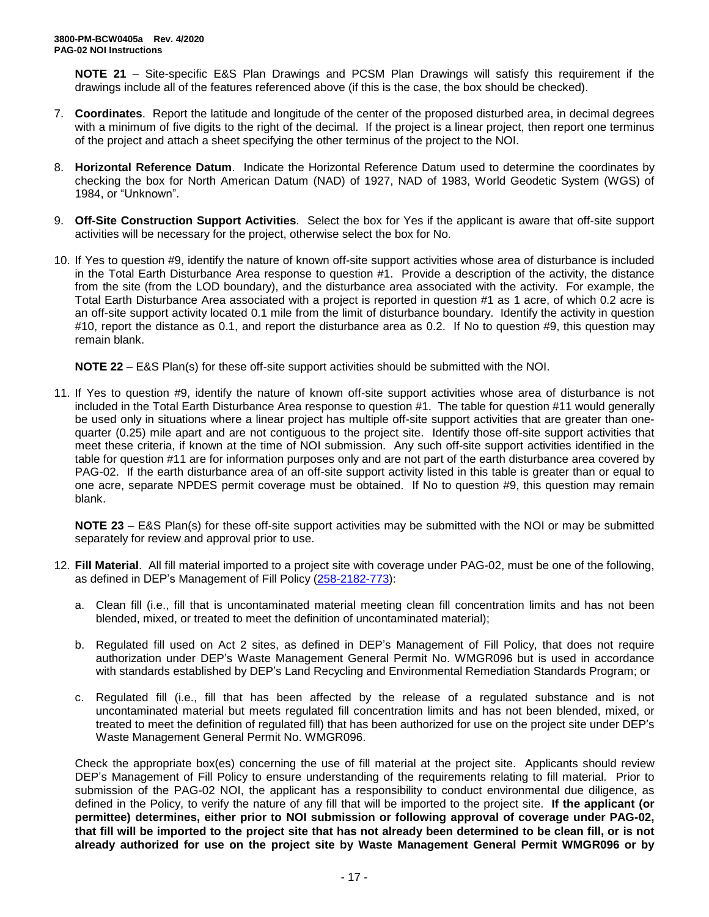**NOTE 21** – Site-specific E&S Plan Drawings and PCSM Plan Drawings will satisfy this requirement if the drawings include all of the features referenced above (if this is the case, the box should be checked).

- 7. **Coordinates**. Report the latitude and longitude of the center of the proposed disturbed area, in decimal degrees with a minimum of five digits to the right of the decimal. If the project is a linear project, then report one terminus of the project and attach a sheet specifying the other terminus of the project to the NOI.
- 8. **Horizontal Reference Datum**. Indicate the Horizontal Reference Datum used to determine the coordinates by checking the box for North American Datum (NAD) of 1927, NAD of 1983, World Geodetic System (WGS) of 1984, or "Unknown".
- 9. **Off-Site Construction Support Activities**. Select the box for Yes if the applicant is aware that off-site support activities will be necessary for the project, otherwise select the box for No.
- 10. If Yes to question #9, identify the nature of known off-site support activities whose area of disturbance is included in the Total Earth Disturbance Area response to question #1. Provide a description of the activity, the distance from the site (from the LOD boundary), and the disturbance area associated with the activity. For example, the Total Earth Disturbance Area associated with a project is reported in question #1 as 1 acre, of which 0.2 acre is an off-site support activity located 0.1 mile from the limit of disturbance boundary. Identify the activity in question #10, report the distance as 0.1, and report the disturbance area as 0.2. If No to question #9, this question may remain blank.

**NOTE 22** – E&S Plan(s) for these off-site support activities should be submitted with the NOI.

11. If Yes to question #9, identify the nature of known off-site support activities whose area of disturbance is not included in the Total Earth Disturbance Area response to question #1. The table for question #11 would generally be used only in situations where a linear project has multiple off-site support activities that are greater than onequarter (0.25) mile apart and are not contiguous to the project site. Identify those off-site support activities that meet these criteria, if known at the time of NOI submission. Any such off-site support activities identified in the table for question #11 are for information purposes only and are not part of the earth disturbance area covered by PAG-02. If the earth disturbance area of an off-site support activity listed in this table is greater than or equal to one acre, separate NPDES permit coverage must be obtained. If No to question #9, this question may remain blank.

**NOTE 23** – E&S Plan(s) for these off-site support activities may be submitted with the NOI or may be submitted separately for review and approval prior to use.

- 12. **Fill Material**. All fill material imported to a project site with coverage under PAG-02, must be one of the following, as defined in DEP's Management of Fill Policy [\(258-2182-773\)](http://www.depgreenport.state.pa.us/elibrary/GetFolder?FolderID=4647):
	- a. Clean fill (i.e., fill that is uncontaminated material meeting clean fill concentration limits and has not been blended, mixed, or treated to meet the definition of uncontaminated material);
	- b. Regulated fill used on Act 2 sites, as defined in DEP's Management of Fill Policy, that does not require authorization under DEP's Waste Management General Permit No. WMGR096 but is used in accordance with standards established by DEP's Land Recycling and Environmental Remediation Standards Program; or
	- c. Regulated fill (i.e., fill that has been affected by the release of a regulated substance and is not uncontaminated material but meets regulated fill concentration limits and has not been blended, mixed, or treated to meet the definition of regulated fill) that has been authorized for use on the project site under DEP's Waste Management General Permit No. WMGR096.

Check the appropriate box(es) concerning the use of fill material at the project site. Applicants should review DEP's Management of Fill Policy to ensure understanding of the requirements relating to fill material. Prior to submission of the PAG-02 NOI, the applicant has a responsibility to conduct environmental due diligence, as defined in the Policy, to verify the nature of any fill that will be imported to the project site. **If the applicant (or permittee) determines, either prior to NOI submission or following approval of coverage under PAG-02, that fill will be imported to the project site that has not already been determined to be clean fill, or is not already authorized for use on the project site by Waste Management General Permit WMGR096 or by**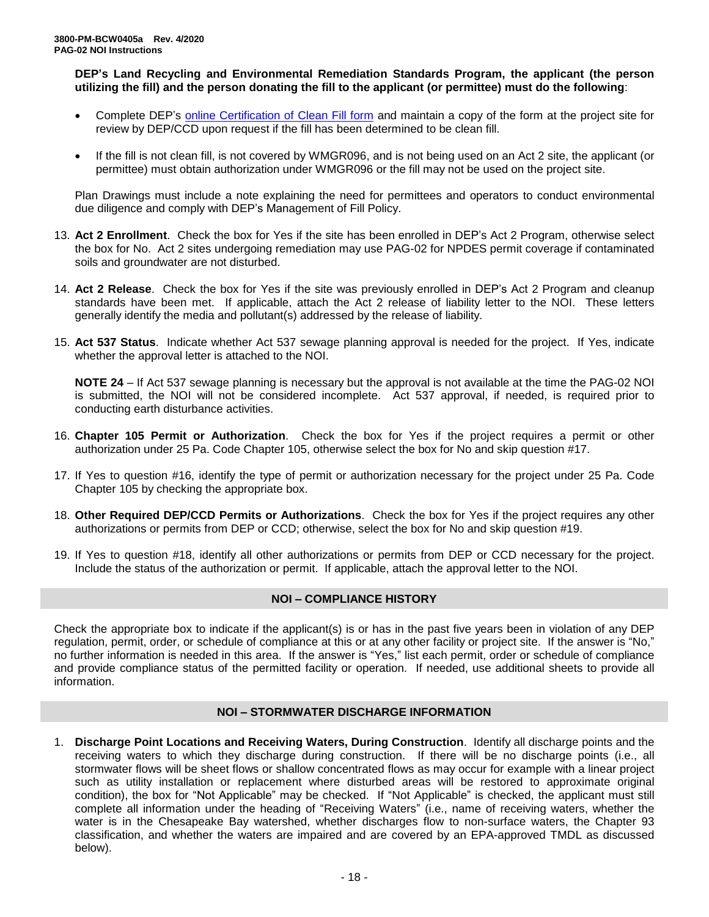**DEP's Land Recycling and Environmental Remediation Standards Program, the applicant (the person utilizing the fill) and the person donating the fill to the applicant (or permittee) must do the following**:

- Complete DEP's [online Certification of Clean Fill form](http://www.depgreenport.state.pa.us/CleanFill) and maintain a copy of the form at the project site for review by DEP/CCD upon request if the fill has been determined to be clean fill.
- If the fill is not clean fill, is not covered by WMGR096, and is not being used on an Act 2 site, the applicant (or permittee) must obtain authorization under WMGR096 or the fill may not be used on the project site.

Plan Drawings must include a note explaining the need for permittees and operators to conduct environmental due diligence and comply with DEP's Management of Fill Policy.

- 13. **Act 2 Enrollment**. Check the box for Yes if the site has been enrolled in DEP's Act 2 Program, otherwise select the box for No. Act 2 sites undergoing remediation may use PAG-02 for NPDES permit coverage if contaminated soils and groundwater are not disturbed.
- 14. **Act 2 Release**. Check the box for Yes if the site was previously enrolled in DEP's Act 2 Program and cleanup standards have been met. If applicable, attach the Act 2 release of liability letter to the NOI. These letters generally identify the media and pollutant(s) addressed by the release of liability.
- 15. **Act 537 Status**. Indicate whether Act 537 sewage planning approval is needed for the project. If Yes, indicate whether the approval letter is attached to the NOI.

**NOTE 24** – If Act 537 sewage planning is necessary but the approval is not available at the time the PAG-02 NOI is submitted, the NOI will not be considered incomplete. Act 537 approval, if needed, is required prior to conducting earth disturbance activities.

- 16. **Chapter 105 Permit or Authorization**. Check the box for Yes if the project requires a permit or other authorization under 25 Pa. Code Chapter 105, otherwise select the box for No and skip question #17.
- 17. If Yes to question #16, identify the type of permit or authorization necessary for the project under 25 Pa. Code Chapter 105 by checking the appropriate box.
- 18. **Other Required DEP/CCD Permits or Authorizations**. Check the box for Yes if the project requires any other authorizations or permits from DEP or CCD; otherwise, select the box for No and skip question #19.
- 19. If Yes to question #18, identify all other authorizations or permits from DEP or CCD necessary for the project. Include the status of the authorization or permit. If applicable, attach the approval letter to the NOI.

### **NOI – COMPLIANCE HISTORY**

Check the appropriate box to indicate if the applicant(s) is or has in the past five years been in violation of any DEP regulation, permit, order, or schedule of compliance at this or at any other facility or project site. If the answer is "No," no further information is needed in this area. If the answer is "Yes," list each permit, order or schedule of compliance and provide compliance status of the permitted facility or operation. If needed, use additional sheets to provide all information.

### **NOI – STORMWATER DISCHARGE INFORMATION**

1. **Discharge Point Locations and Receiving Waters, During Construction**. Identify all discharge points and the receiving waters to which they discharge during construction. If there will be no discharge points (i.e., all stormwater flows will be sheet flows or shallow concentrated flows as may occur for example with a linear project such as utility installation or replacement where disturbed areas will be restored to approximate original condition), the box for "Not Applicable" may be checked. If "Not Applicable" is checked, the applicant must still complete all information under the heading of "Receiving Waters" (i.e., name of receiving waters, whether the water is in the Chesapeake Bay watershed, whether discharges flow to non-surface waters, the Chapter 93 classification, and whether the waters are impaired and are covered by an EPA-approved TMDL as discussed below).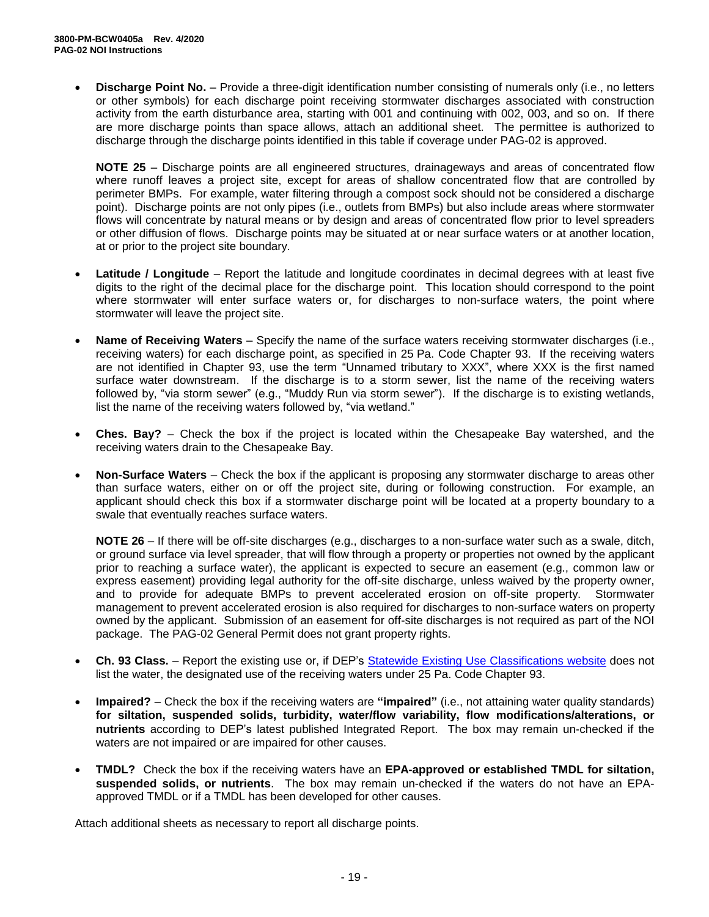• **Discharge Point No.** – Provide a three-digit identification number consisting of numerals only (i.e., no letters or other symbols) for each discharge point receiving stormwater discharges associated with construction activity from the earth disturbance area, starting with 001 and continuing with 002, 003, and so on. If there are more discharge points than space allows, attach an additional sheet. The permittee is authorized to discharge through the discharge points identified in this table if coverage under PAG-02 is approved.

**NOTE 25** – Discharge points are all engineered structures, drainageways and areas of concentrated flow where runoff leaves a project site, except for areas of shallow concentrated flow that are controlled by perimeter BMPs. For example, water filtering through a compost sock should not be considered a discharge point). Discharge points are not only pipes (i.e., outlets from BMPs) but also include areas where stormwater flows will concentrate by natural means or by design and areas of concentrated flow prior to level spreaders or other diffusion of flows. Discharge points may be situated at or near surface waters or at another location, at or prior to the project site boundary.

- **Latitude / Longitude** Report the latitude and longitude coordinates in decimal degrees with at least five digits to the right of the decimal place for the discharge point. This location should correspond to the point where stormwater will enter surface waters or, for discharges to non-surface waters, the point where stormwater will leave the project site.
- **Name of Receiving Waters**  Specify the name of the surface waters receiving stormwater discharges (i.e., receiving waters) for each discharge point, as specified in 25 Pa. Code Chapter 93. If the receiving waters are not identified in Chapter 93, use the term "Unnamed tributary to XXX", where XXX is the first named surface water downstream. If the discharge is to a storm sewer, list the name of the receiving waters followed by, "via storm sewer" (e.g., "Muddy Run via storm sewer"). If the discharge is to existing wetlands, list the name of the receiving waters followed by, "via wetland."
- **Ches. Bay?** Check the box if the project is located within the Chesapeake Bay watershed, and the receiving waters drain to the Chesapeake Bay.
- **Non-Surface Waters** Check the box if the applicant is proposing any stormwater discharge to areas other than surface waters, either on or off the project site, during or following construction. For example, an applicant should check this box if a stormwater discharge point will be located at a property boundary to a swale that eventually reaches surface waters.

**NOTE 26** – If there will be off-site discharges (e.g., discharges to a non-surface water such as a swale, ditch, or ground surface via level spreader, that will flow through a property or properties not owned by the applicant prior to reaching a surface water), the applicant is expected to secure an easement (e.g., common law or express easement) providing legal authority for the off-site discharge, unless waived by the property owner, and to provide for adequate BMPs to prevent accelerated erosion on off-site property. Stormwater management to prevent accelerated erosion is also required for discharges to non-surface waters on property owned by the applicant. Submission of an easement for off-site discharges is not required as part of the NOI package. The PAG-02 General Permit does not grant property rights.

- **Ch. 93 Class.** Report the existing use or, if DEP's [Statewide Existing](https://www.dep.pa.gov/Business/Water/CleanWater/WaterQuality/StreamRedesignations/Pages/Statewide-Existing-Use-Classifications.aspx) Use Classifications website does not list the water, the designated use of the receiving waters under 25 Pa. Code Chapter 93.
- **Impaired?** Check the box if the receiving waters are **"impaired"** (i.e., not attaining water quality standards) **for siltation, suspended solids, turbidity, water/flow variability, flow modifications/alterations, or nutrients** according to DEP's latest published Integrated Report. The box may remain un-checked if the waters are not impaired or are impaired for other causes.
- **TMDL?** Check the box if the receiving waters have an **EPA-approved or established TMDL for siltation, suspended solids, or nutrients**. The box may remain un-checked if the waters do not have an EPAapproved TMDL or if a TMDL has been developed for other causes.

Attach additional sheets as necessary to report all discharge points.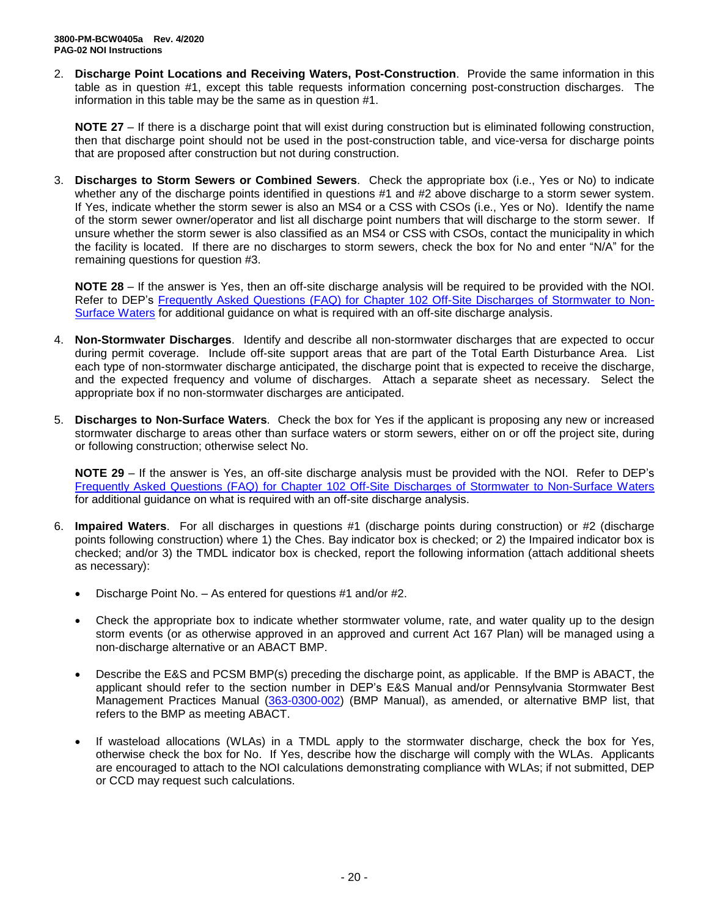2. **Discharge Point Locations and Receiving Waters, Post-Construction**. Provide the same information in this table as in question #1, except this table requests information concerning post-construction discharges. The information in this table may be the same as in question #1.

**NOTE 27** – If there is a discharge point that will exist during construction but is eliminated following construction, then that discharge point should not be used in the post-construction table, and vice-versa for discharge points that are proposed after construction but not during construction.

3. **Discharges to Storm Sewers or Combined Sewers**. Check the appropriate box (i.e., Yes or No) to indicate whether any of the discharge points identified in questions #1 and #2 above discharge to a storm sewer system. If Yes, indicate whether the storm sewer is also an MS4 or a CSS with CSOs (i.e., Yes or No). Identify the name of the storm sewer owner/operator and list all discharge point numbers that will discharge to the storm sewer. If unsure whether the storm sewer is also classified as an MS4 or CSS with CSOs, contact the municipality in which the facility is located. If there are no discharges to storm sewers, check the box for No and enter "N/A" for the remaining questions for question #3.

**NOTE 28** – If the answer is Yes, then an off-site discharge analysis will be required to be provided with the NOI. Refer to DEP's Frequently Asked Questions (FAQ) for [Chapter 102 Off-Site Discharges of Stormwater to Non-](http://files.dep.state.pa.us/Water/BPNPSM/StormwaterManagement/ConstructionStormwater/Off-Site_Discharges_FAQ.pdf)[Surface Waters](http://files.dep.state.pa.us/Water/BPNPSM/StormwaterManagement/ConstructionStormwater/Off-Site_Discharges_FAQ.pdf) for additional guidance on what is required with an off-site discharge analysis.

- 4. **Non-Stormwater Discharges**. Identify and describe all non-stormwater discharges that are expected to occur during permit coverage. Include off-site support areas that are part of the Total Earth Disturbance Area. List each type of non-stormwater discharge anticipated, the discharge point that is expected to receive the discharge, and the expected frequency and volume of discharges. Attach a separate sheet as necessary. Select the appropriate box if no non-stormwater discharges are anticipated.
- 5. **Discharges to Non-Surface Waters**. Check the box for Yes if the applicant is proposing any new or increased stormwater discharge to areas other than surface waters or storm sewers, either on or off the project site, during or following construction; otherwise select No.

**NOTE 29** – If the answer is Yes, an off-site discharge analysis must be provided with the NOI. Refer to DEP's [Frequently Asked Questions \(FAQ\) for Chapter 102 Off-Site Discharges of Stormwater to](http://files.dep.state.pa.us/Water/BPNPSM/StormwaterManagement/ConstructionStormwater/Off-Site_Discharges_FAQ.pdf) Non-Surface Waters for additional guidance on what is required with an off-site discharge analysis.

- 6. **Impaired Waters**. For all discharges in questions #1 (discharge points during construction) or #2 (discharge points following construction) where 1) the Ches. Bay indicator box is checked; or 2) the Impaired indicator box is checked; and/or 3) the TMDL indicator box is checked, report the following information (attach additional sheets as necessary):
	- Discharge Point No. As entered for questions #1 and/or #2.
	- Check the appropriate box to indicate whether stormwater volume, rate, and water quality up to the design storm events (or as otherwise approved in an approved and current Act 167 Plan) will be managed using a non-discharge alternative or an ABACT BMP.
	- Describe the E&S and PCSM BMP(s) preceding the discharge point, as applicable. If the BMP is ABACT, the applicant should refer to the section number in DEP's E&S Manual and/or Pennsylvania Stormwater Best Management Practices Manual [\(363-0300-002\)](http://www.depgreenport.state.pa.us/elibrary/GetFolder?FolderID=4673) (BMP Manual), as amended, or alternative BMP list, that refers to the BMP as meeting ABACT.
	- If wasteload allocations (WLAs) in a TMDL apply to the stormwater discharge, check the box for Yes, otherwise check the box for No. If Yes, describe how the discharge will comply with the WLAs. Applicants are encouraged to attach to the NOI calculations demonstrating compliance with WLAs; if not submitted, DEP or CCD may request such calculations.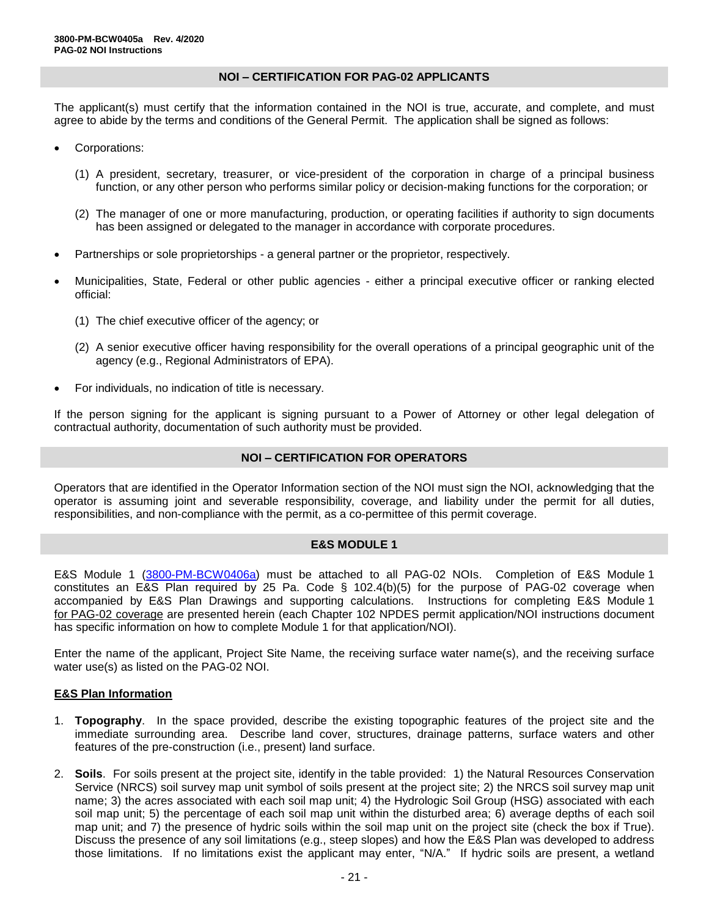### **NOI – CERTIFICATION FOR PAG-02 APPLICANTS**

The applicant(s) must certify that the information contained in the NOI is true, accurate, and complete, and must agree to abide by the terms and conditions of the General Permit. The application shall be signed as follows:

- Corporations:
	- (1) A president, secretary, treasurer, or vice-president of the corporation in charge of a principal business function, or any other person who performs similar policy or decision-making functions for the corporation; or
	- (2) The manager of one or more manufacturing, production, or operating facilities if authority to sign documents has been assigned or delegated to the manager in accordance with corporate procedures.
- Partnerships or sole proprietorships a general partner or the proprietor, respectively.
- Municipalities, State, Federal or other public agencies either a principal executive officer or ranking elected official:
	- (1) The chief executive officer of the agency; or
	- (2) A senior executive officer having responsibility for the overall operations of a principal geographic unit of the agency (e.g., Regional Administrators of EPA).
- For individuals, no indication of title is necessary.

If the person signing for the applicant is signing pursuant to a Power of Attorney or other legal delegation of contractual authority, documentation of such authority must be provided.

### **NOI – CERTIFICATION FOR OPERATORS**

Operators that are identified in the Operator Information section of the NOI must sign the NOI, acknowledging that the operator is assuming joint and severable responsibility, coverage, and liability under the permit for all duties, responsibilities, and non-compliance with the permit, as a co-permittee of this permit coverage.

### **E&S MODULE 1**

E&S Module 1 [\(3800-PM-BCW0406a\)](http://www.depgreenport.state.pa.us/elibrary/GetFolder?FolderID=90984) must be attached to all PAG-02 NOIs. Completion of E&S Module 1 constitutes an E&S Plan required by 25 Pa. Code § 102.4(b)(5) for the purpose of PAG-02 coverage when accompanied by E&S Plan Drawings and supporting calculations. Instructions for completing E&S Module 1 for PAG-02 coverage are presented herein (each Chapter 102 NPDES permit application/NOI instructions document has specific information on how to complete Module 1 for that application/NOI).

Enter the name of the applicant, Project Site Name, the receiving surface water name(s), and the receiving surface water use(s) as listed on the PAG-02 NOI.

### **E&S Plan Information**

- 1. **Topography**. In the space provided, describe the existing topographic features of the project site and the immediate surrounding area. Describe land cover, structures, drainage patterns, surface waters and other features of the pre-construction (i.e., present) land surface.
- 2. **Soils**. For soils present at the project site, identify in the table provided: 1) the Natural Resources Conservation Service (NRCS) soil survey map unit symbol of soils present at the project site; 2) the NRCS soil survey map unit name; 3) the acres associated with each soil map unit; 4) the Hydrologic Soil Group (HSG) associated with each soil map unit; 5) the percentage of each soil map unit within the disturbed area; 6) average depths of each soil map unit; and 7) the presence of hydric soils within the soil map unit on the project site (check the box if True). Discuss the presence of any soil limitations (e.g., steep slopes) and how the E&S Plan was developed to address those limitations. If no limitations exist the applicant may enter, "N/A." If hydric soils are present, a wetland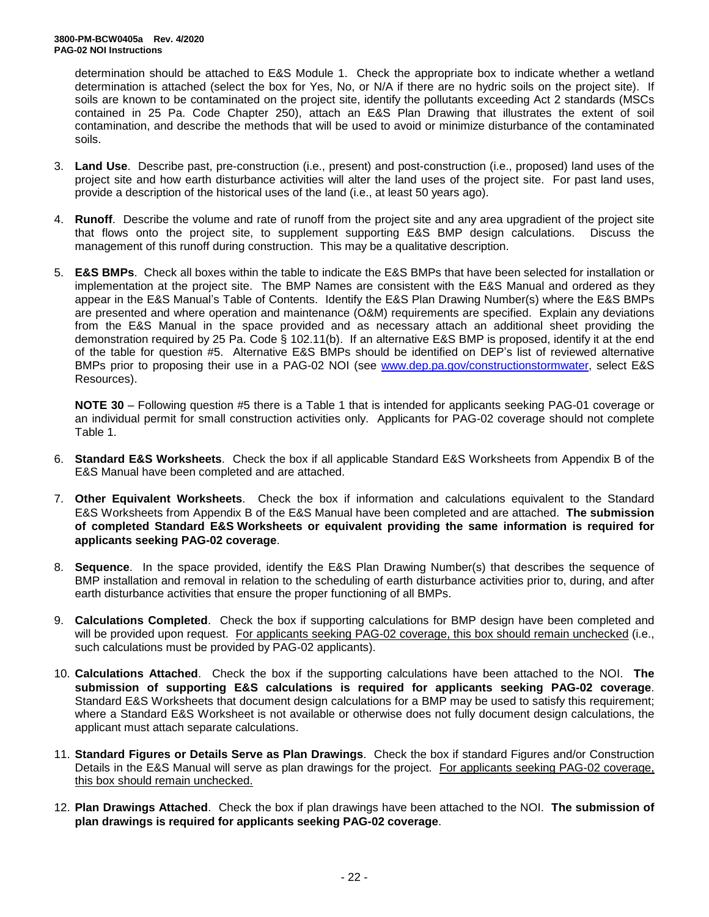determination should be attached to E&S Module 1. Check the appropriate box to indicate whether a wetland determination is attached (select the box for Yes, No, or N/A if there are no hydric soils on the project site). If soils are known to be contaminated on the project site, identify the pollutants exceeding Act 2 standards (MSCs contained in 25 Pa. Code Chapter 250), attach an E&S Plan Drawing that illustrates the extent of soil contamination, and describe the methods that will be used to avoid or minimize disturbance of the contaminated soils.

- 3. **Land Use**. Describe past, pre-construction (i.e., present) and post-construction (i.e., proposed) land uses of the project site and how earth disturbance activities will alter the land uses of the project site. For past land uses, provide a description of the historical uses of the land (i.e., at least 50 years ago).
- 4. **Runoff**. Describe the volume and rate of runoff from the project site and any area upgradient of the project site that flows onto the project site, to supplement supporting E&S BMP design calculations. Discuss the management of this runoff during construction. This may be a qualitative description.
- 5. **E&S BMPs**. Check all boxes within the table to indicate the E&S BMPs that have been selected for installation or implementation at the project site. The BMP Names are consistent with the E&S Manual and ordered as they appear in the E&S Manual's Table of Contents. Identify the E&S Plan Drawing Number(s) where the E&S BMPs are presented and where operation and maintenance (O&M) requirements are specified. Explain any deviations from the E&S Manual in the space provided and as necessary attach an additional sheet providing the demonstration required by 25 Pa. Code § 102.11(b). If an alternative E&S BMP is proposed, identify it at the end of the table for question #5. Alternative E&S BMPs should be identified on DEP's list of reviewed alternative BMPs prior to proposing their use in a PAG-02 NOI (see [www.dep.pa.gov/constructionstormwater,](http://www.dep.pa.gov/constructionstormwater) select E&S Resources).

**NOTE 30** – Following question #5 there is a Table 1 that is intended for applicants seeking PAG-01 coverage or an individual permit for small construction activities only. Applicants for PAG-02 coverage should not complete Table 1.

- 6. **Standard E&S Worksheets**. Check the box if all applicable Standard E&S Worksheets from Appendix B of the E&S Manual have been completed and are attached.
- 7. **Other Equivalent Worksheets**. Check the box if information and calculations equivalent to the Standard E&S Worksheets from Appendix B of the E&S Manual have been completed and are attached. **The submission of completed Standard E&S Worksheets or equivalent providing the same information is required for applicants seeking PAG-02 coverage**.
- 8. **Sequence**. In the space provided, identify the E&S Plan Drawing Number(s) that describes the sequence of BMP installation and removal in relation to the scheduling of earth disturbance activities prior to, during, and after earth disturbance activities that ensure the proper functioning of all BMPs.
- 9. **Calculations Completed**. Check the box if supporting calculations for BMP design have been completed and will be provided upon request. For applicants seeking PAG-02 coverage, this box should remain unchecked (i.e., such calculations must be provided by PAG-02 applicants).
- 10. **Calculations Attached**. Check the box if the supporting calculations have been attached to the NOI. **The submission of supporting E&S calculations is required for applicants seeking PAG-02 coverage**. Standard E&S Worksheets that document design calculations for a BMP may be used to satisfy this requirement; where a Standard E&S Worksheet is not available or otherwise does not fully document design calculations, the applicant must attach separate calculations.
- 11. **Standard Figures or Details Serve as Plan Drawings**. Check the box if standard Figures and/or Construction Details in the E&S Manual will serve as plan drawings for the project. For applicants seeking PAG-02 coverage, this box should remain unchecked.
- 12. **Plan Drawings Attached**. Check the box if plan drawings have been attached to the NOI. **The submission of plan drawings is required for applicants seeking PAG-02 coverage**.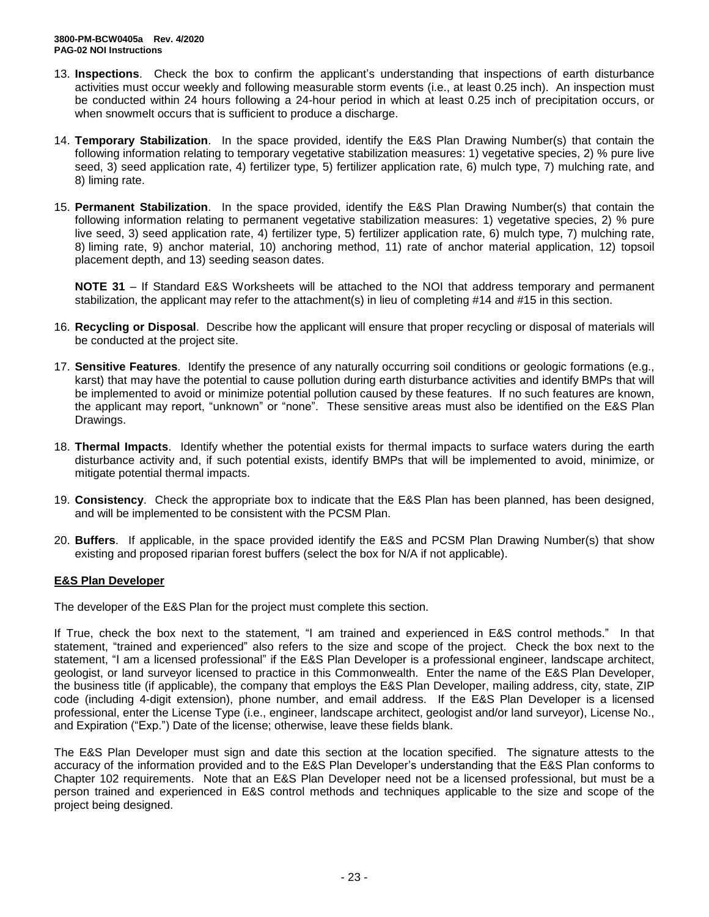- 13. **Inspections**. Check the box to confirm the applicant's understanding that inspections of earth disturbance activities must occur weekly and following measurable storm events (i.e., at least 0.25 inch). An inspection must be conducted within 24 hours following a 24-hour period in which at least 0.25 inch of precipitation occurs, or when snowmelt occurs that is sufficient to produce a discharge.
- 14. **Temporary Stabilization**. In the space provided, identify the E&S Plan Drawing Number(s) that contain the following information relating to temporary vegetative stabilization measures: 1) vegetative species, 2) % pure live seed, 3) seed application rate, 4) fertilizer type, 5) fertilizer application rate, 6) mulch type, 7) mulching rate, and 8) liming rate.
- 15. **Permanent Stabilization**. In the space provided, identify the E&S Plan Drawing Number(s) that contain the following information relating to permanent vegetative stabilization measures: 1) vegetative species, 2) % pure live seed, 3) seed application rate, 4) fertilizer type, 5) fertilizer application rate, 6) mulch type, 7) mulching rate, 8) liming rate, 9) anchor material, 10) anchoring method, 11) rate of anchor material application, 12) topsoil placement depth, and 13) seeding season dates.

**NOTE 31** – If Standard E&S Worksheets will be attached to the NOI that address temporary and permanent stabilization, the applicant may refer to the attachment(s) in lieu of completing #14 and #15 in this section.

- 16. **Recycling or Disposal**. Describe how the applicant will ensure that proper recycling or disposal of materials will be conducted at the project site.
- 17. **Sensitive Features**. Identify the presence of any naturally occurring soil conditions or geologic formations (e.g., karst) that may have the potential to cause pollution during earth disturbance activities and identify BMPs that will be implemented to avoid or minimize potential pollution caused by these features. If no such features are known, the applicant may report, "unknown" or "none". These sensitive areas must also be identified on the E&S Plan Drawings.
- 18. **Thermal Impacts**. Identify whether the potential exists for thermal impacts to surface waters during the earth disturbance activity and, if such potential exists, identify BMPs that will be implemented to avoid, minimize, or mitigate potential thermal impacts.
- 19. **Consistency**. Check the appropriate box to indicate that the E&S Plan has been planned, has been designed, and will be implemented to be consistent with the PCSM Plan.
- 20. **Buffers**. If applicable, in the space provided identify the E&S and PCSM Plan Drawing Number(s) that show existing and proposed riparian forest buffers (select the box for N/A if not applicable).

### **E&S Plan Developer**

The developer of the E&S Plan for the project must complete this section.

If True, check the box next to the statement, "I am trained and experienced in E&S control methods." In that statement, "trained and experienced" also refers to the size and scope of the project. Check the box next to the statement, "I am a licensed professional" if the E&S Plan Developer is a professional engineer, landscape architect, geologist, or land surveyor licensed to practice in this Commonwealth. Enter the name of the E&S Plan Developer, the business title (if applicable), the company that employs the E&S Plan Developer, mailing address, city, state, ZIP code (including 4-digit extension), phone number, and email address. If the E&S Plan Developer is a licensed professional, enter the License Type (i.e., engineer, landscape architect, geologist and/or land surveyor), License No., and Expiration ("Exp.") Date of the license; otherwise, leave these fields blank.

The E&S Plan Developer must sign and date this section at the location specified. The signature attests to the accuracy of the information provided and to the E&S Plan Developer's understanding that the E&S Plan conforms to Chapter 102 requirements. Note that an E&S Plan Developer need not be a licensed professional, but must be a person trained and experienced in E&S control methods and techniques applicable to the size and scope of the project being designed.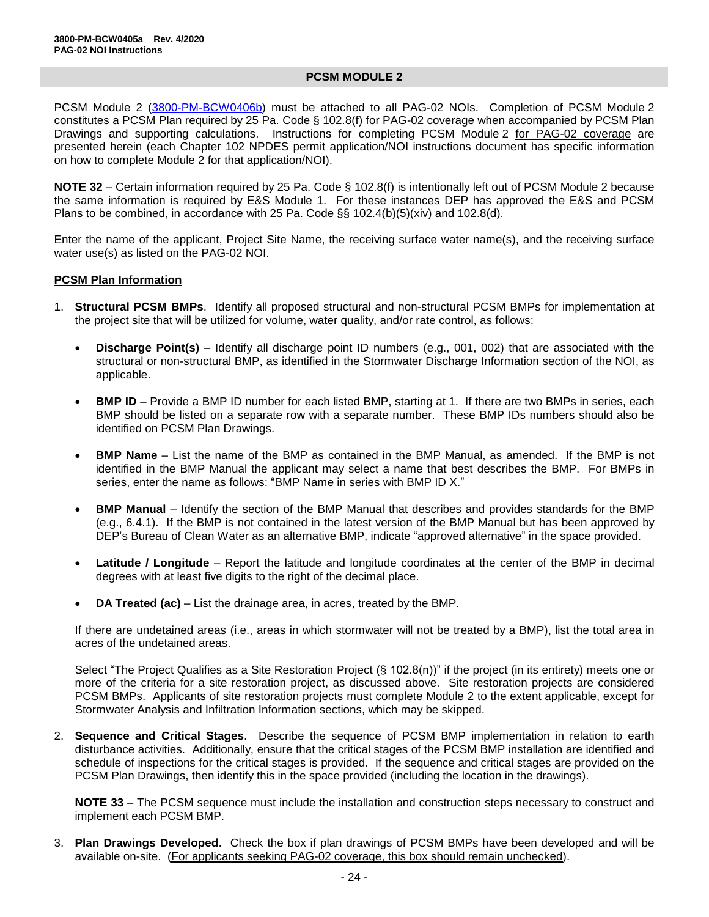### **PCSM MODULE 2**

PCSM Module 2 [\(3800-PM-BCW0406b\)](http://www.depgreenport.state.pa.us/elibrary/GetFolder?FolderID=90984) must be attached to all PAG-02 NOIs. Completion of PCSM Module 2 constitutes a PCSM Plan required by 25 Pa. Code § 102.8(f) for PAG-02 coverage when accompanied by PCSM Plan Drawings and supporting calculations. Instructions for completing PCSM Module 2 for PAG-02 coverage are presented herein (each Chapter 102 NPDES permit application/NOI instructions document has specific information on how to complete Module 2 for that application/NOI).

**NOTE 32** – Certain information required by 25 Pa. Code § 102.8(f) is intentionally left out of PCSM Module 2 because the same information is required by E&S Module 1. For these instances DEP has approved the E&S and PCSM Plans to be combined, in accordance with 25 Pa. Code  $\S$ § 102.4(b)(5)(xiv) and 102.8(d).

Enter the name of the applicant, Project Site Name, the receiving surface water name(s), and the receiving surface water use(s) as listed on the PAG-02 NOI.

#### **PCSM Plan Information**

- 1. **Structural PCSM BMPs**. Identify all proposed structural and non-structural PCSM BMPs for implementation at the project site that will be utilized for volume, water quality, and/or rate control, as follows:
	- **Discharge Point(s)** Identify all discharge point ID numbers (e.g., 001, 002) that are associated with the structural or non-structural BMP, as identified in the Stormwater Discharge Information section of the NOI, as applicable.
	- **BMP ID** Provide a BMP ID number for each listed BMP, starting at 1. If there are two BMPs in series, each BMP should be listed on a separate row with a separate number. These BMP IDs numbers should also be identified on PCSM Plan Drawings.
	- **BMP Name** List the name of the BMP as contained in the BMP Manual, as amended. If the BMP is not identified in the BMP Manual the applicant may select a name that best describes the BMP. For BMPs in series, enter the name as follows: "BMP Name in series with BMP ID X."
	- **BMP Manual** Identify the section of the BMP Manual that describes and provides standards for the BMP (e.g., 6.4.1). If the BMP is not contained in the latest version of the BMP Manual but has been approved by DEP's Bureau of Clean Water as an alternative BMP, indicate "approved alternative" in the space provided.
	- **Latitude / Longitude** Report the latitude and longitude coordinates at the center of the BMP in decimal degrees with at least five digits to the right of the decimal place.
	- **DA Treated (ac)** List the drainage area, in acres, treated by the BMP.

If there are undetained areas (i.e., areas in which stormwater will not be treated by a BMP), list the total area in acres of the undetained areas.

Select "The Project Qualifies as a Site Restoration Project (§ 102.8(n))" if the project (in its entirety) meets one or more of the criteria for a site restoration project, as discussed above. Site restoration projects are considered PCSM BMPs. Applicants of site restoration projects must complete Module 2 to the extent applicable, except for Stormwater Analysis and Infiltration Information sections, which may be skipped.

2. **Sequence and Critical Stages**. Describe the sequence of PCSM BMP implementation in relation to earth disturbance activities. Additionally, ensure that the critical stages of the PCSM BMP installation are identified and schedule of inspections for the critical stages is provided. If the sequence and critical stages are provided on the PCSM Plan Drawings, then identify this in the space provided (including the location in the drawings).

**NOTE 33** – The PCSM sequence must include the installation and construction steps necessary to construct and implement each PCSM BMP.

3. **Plan Drawings Developed**. Check the box if plan drawings of PCSM BMPs have been developed and will be available on-site. (For applicants seeking PAG-02 coverage, this box should remain unchecked).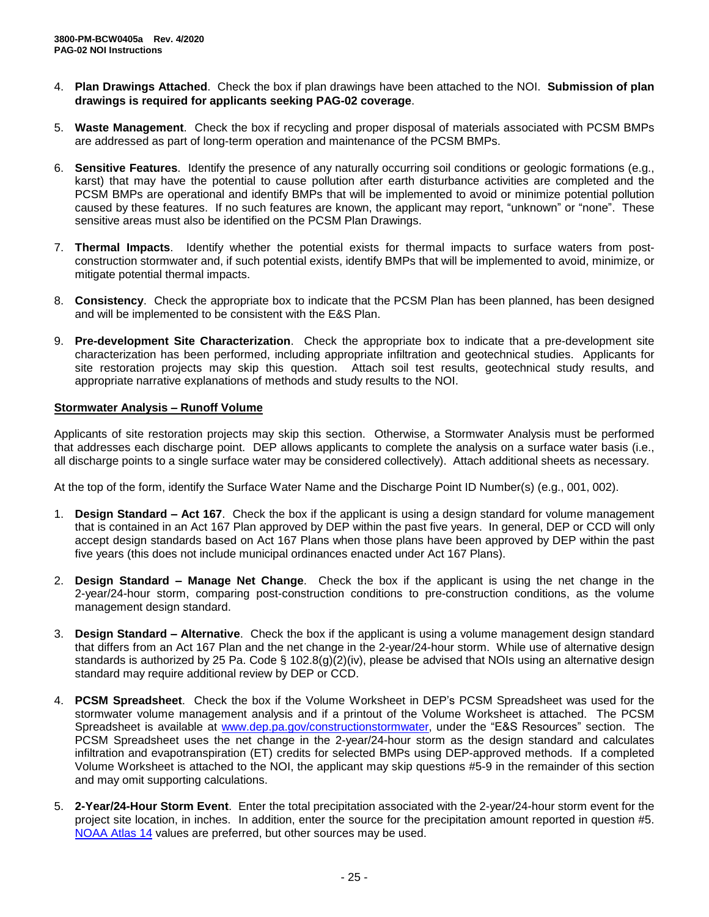- 4. **Plan Drawings Attached**. Check the box if plan drawings have been attached to the NOI. **Submission of plan drawings is required for applicants seeking PAG-02 coverage**.
- 5. **Waste Management**. Check the box if recycling and proper disposal of materials associated with PCSM BMPs are addressed as part of long-term operation and maintenance of the PCSM BMPs.
- 6. **Sensitive Features**. Identify the presence of any naturally occurring soil conditions or geologic formations (e.g., karst) that may have the potential to cause pollution after earth disturbance activities are completed and the PCSM BMPs are operational and identify BMPs that will be implemented to avoid or minimize potential pollution caused by these features. If no such features are known, the applicant may report, "unknown" or "none". These sensitive areas must also be identified on the PCSM Plan Drawings.
- 7. **Thermal Impacts**. Identify whether the potential exists for thermal impacts to surface waters from postconstruction stormwater and, if such potential exists, identify BMPs that will be implemented to avoid, minimize, or mitigate potential thermal impacts.
- 8. **Consistency**. Check the appropriate box to indicate that the PCSM Plan has been planned, has been designed and will be implemented to be consistent with the E&S Plan.
- 9. **Pre-development Site Characterization**. Check the appropriate box to indicate that a pre-development site characterization has been performed, including appropriate infiltration and geotechnical studies. Applicants for site restoration projects may skip this question. Attach soil test results, geotechnical study results, and appropriate narrative explanations of methods and study results to the NOI.

### **Stormwater Analysis – Runoff Volume**

Applicants of site restoration projects may skip this section. Otherwise, a Stormwater Analysis must be performed that addresses each discharge point. DEP allows applicants to complete the analysis on a surface water basis (i.e., all discharge points to a single surface water may be considered collectively). Attach additional sheets as necessary.

At the top of the form, identify the Surface Water Name and the Discharge Point ID Number(s) (e.g., 001, 002).

- 1. **Design Standard – Act 167**. Check the box if the applicant is using a design standard for volume management that is contained in an Act 167 Plan approved by DEP within the past five years. In general, DEP or CCD will only accept design standards based on Act 167 Plans when those plans have been approved by DEP within the past five years (this does not include municipal ordinances enacted under Act 167 Plans).
- 2. **Design Standard – Manage Net Change**. Check the box if the applicant is using the net change in the 2-year/24-hour storm, comparing post-construction conditions to pre-construction conditions, as the volume management design standard.
- 3. **Design Standard – Alternative**. Check the box if the applicant is using a volume management design standard that differs from an Act 167 Plan and the net change in the 2-year/24-hour storm. While use of alternative design standards is authorized by 25 Pa. Code § 102.8(g)(2)(iv), please be advised that NOIs using an alternative design standard may require additional review by DEP or CCD.
- 4. **PCSM Spreadsheet**. Check the box if the Volume Worksheet in DEP's PCSM Spreadsheet was used for the stormwater volume management analysis and if a printout of the Volume Worksheet is attached. The PCSM Spreadsheet is available at [www.dep.pa.gov/constructionstormwater,](http://www.dep.pa.gov/constructionstormwater) under the "E&S Resources" section. The PCSM Spreadsheet uses the net change in the 2-year/24-hour storm as the design standard and calculates infiltration and evapotranspiration (ET) credits for selected BMPs using DEP-approved methods. If a completed Volume Worksheet is attached to the NOI, the applicant may skip questions #5-9 in the remainder of this section and may omit supporting calculations.
- 5. **2-Year/24-Hour Storm Event**. Enter the total precipitation associated with the 2-year/24-hour storm event for the project site location, in inches. In addition, enter the source for the precipitation amount reported in question #5. NOAA [Atlas 14](https://hdsc.nws.noaa.gov/hdsc/pfds/pfds_map_cont.html) values are preferred, but other sources may be used.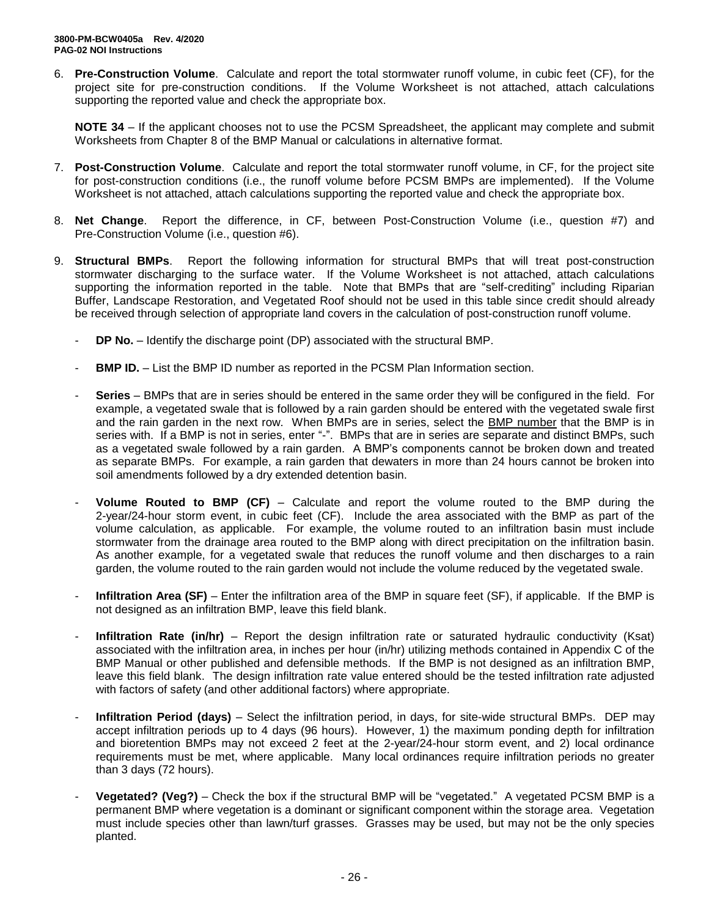6. **Pre-Construction Volume**. Calculate and report the total stormwater runoff volume, in cubic feet (CF), for the project site for pre-construction conditions. If the Volume Worksheet is not attached, attach calculations supporting the reported value and check the appropriate box.

**NOTE 34** – If the applicant chooses not to use the PCSM Spreadsheet, the applicant may complete and submit Worksheets from Chapter 8 of the BMP Manual or calculations in alternative format.

- 7. **Post-Construction Volume**. Calculate and report the total stormwater runoff volume, in CF, for the project site for post-construction conditions (i.e., the runoff volume before PCSM BMPs are implemented). If the Volume Worksheet is not attached, attach calculations supporting the reported value and check the appropriate box.
- 8. **Net Change**. Report the difference, in CF, between Post-Construction Volume (i.e., question #7) and Pre-Construction Volume (i.e., question #6).
- 9. **Structural BMPs**. Report the following information for structural BMPs that will treat post-construction stormwater discharging to the surface water. If the Volume Worksheet is not attached, attach calculations supporting the information reported in the table. Note that BMPs that are "self-crediting" including Riparian Buffer, Landscape Restoration, and Vegetated Roof should not be used in this table since credit should already be received through selection of appropriate land covers in the calculation of post-construction runoff volume.
	- **DP No.** Identify the discharge point (DP) associated with the structural BMP.
	- **BMP ID.** List the BMP ID number as reported in the PCSM Plan Information section.
	- Series BMPs that are in series should be entered in the same order they will be configured in the field. For example, a vegetated swale that is followed by a rain garden should be entered with the vegetated swale first and the rain garden in the next row. When BMPs are in series, select the BMP number that the BMP is in series with. If a BMP is not in series, enter "-". BMPs that are in series are separate and distinct BMPs, such as a vegetated swale followed by a rain garden. A BMP's components cannot be broken down and treated as separate BMPs. For example, a rain garden that dewaters in more than 24 hours cannot be broken into soil amendments followed by a dry extended detention basin.
	- **Volume Routed to BMP (CF)** Calculate and report the volume routed to the BMP during the 2-year/24-hour storm event, in cubic feet (CF).Include the area associated with the BMP as part of the volume calculation, as applicable. For example, the volume routed to an infiltration basin must include stormwater from the drainage area routed to the BMP along with direct precipitation on the infiltration basin. As another example, for a vegetated swale that reduces the runoff volume and then discharges to a rain garden, the volume routed to the rain garden would not include the volume reduced by the vegetated swale.
	- **Infiltration Area (SF)** Enter the infiltration area of the BMP in square feet (SF), if applicable. If the BMP is not designed as an infiltration BMP, leave this field blank.
	- **Infiltration Rate (in/hr)** Report the design infiltration rate or saturated hydraulic conductivity (Ksat) associated with the infiltration area, in inches per hour (in/hr) utilizing methods contained in Appendix C of the BMP Manual or other published and defensible methods. If the BMP is not designed as an infiltration BMP, leave this field blank. The design infiltration rate value entered should be the tested infiltration rate adjusted with factors of safety (and other additional factors) where appropriate.
	- **Infiltration Period (days)** Select the infiltration period, in days, for site-wide structural BMPs. DEP may accept infiltration periods up to 4 days (96 hours). However, 1) the maximum ponding depth for infiltration and bioretention BMPs may not exceed 2 feet at the 2-year/24-hour storm event, and 2) local ordinance requirements must be met, where applicable. Many local ordinances require infiltration periods no greater than 3 days (72 hours).
	- **Vegetated? (Veg?)** Check the box if the structural BMP will be "vegetated." A vegetated PCSM BMP is a permanent BMP where vegetation is a dominant or significant component within the storage area. Vegetation must include species other than lawn/turf grasses. Grasses may be used, but may not be the only species planted.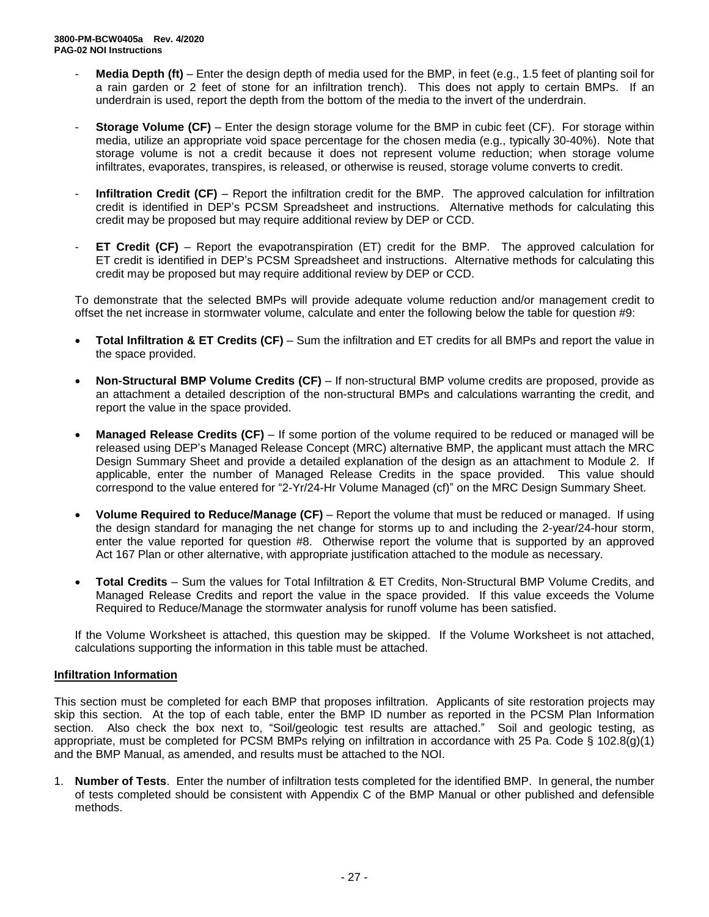- **Media Depth (ft)** Enter the design depth of media used for the BMP, in feet (e.g., 1.5 feet of planting soil for a rain garden or 2 feet of stone for an infiltration trench). This does not apply to certain BMPs. If an underdrain is used, report the depth from the bottom of the media to the invert of the underdrain.
- **Storage Volume (CF)** Enter the design storage volume for the BMP in cubic feet (CF). For storage within media, utilize an appropriate void space percentage for the chosen media (e.g., typically 30-40%). Note that storage volume is not a credit because it does not represent volume reduction; when storage volume infiltrates, evaporates, transpires, is released, or otherwise is reused, storage volume converts to credit.
- **Infiltration Credit (CF)** Report the infiltration credit for the BMP. The approved calculation for infiltration credit is identified in DEP's PCSM Spreadsheet and instructions. Alternative methods for calculating this credit may be proposed but may require additional review by DEP or CCD.
- **ET Credit (CF)** Report the evapotranspiration (ET) credit for the BMP. The approved calculation for ET credit is identified in DEP's PCSM Spreadsheet and instructions. Alternative methods for calculating this credit may be proposed but may require additional review by DEP or CCD.

To demonstrate that the selected BMPs will provide adequate volume reduction and/or management credit to offset the net increase in stormwater volume, calculate and enter the following below the table for question #9:

- **Total Infiltration & ET Credits (CF)** Sum the infiltration and ET credits for all BMPs and report the value in the space provided.
- **Non-Structural BMP Volume Credits (CF)** If non-structural BMP volume credits are proposed, provide as an attachment a detailed description of the non-structural BMPs and calculations warranting the credit, and report the value in the space provided.
- **Managed Release Credits (CF)** If some portion of the volume required to be reduced or managed will be released using DEP's Managed Release Concept (MRC) alternative BMP, the applicant must attach the MRC Design Summary Sheet and provide a detailed explanation of the design as an attachment to Module 2. If applicable, enter the number of Managed Release Credits in the space provided. This value should correspond to the value entered for "2-Yr/24-Hr Volume Managed (cf)" on the MRC Design Summary Sheet.
- **Volume Required to Reduce/Manage (CF)** Report the volume that must be reduced or managed. If using the design standard for managing the net change for storms up to and including the 2-year/24-hour storm, enter the value reported for question #8. Otherwise report the volume that is supported by an approved Act 167 Plan or other alternative, with appropriate justification attached to the module as necessary.
- **Total Credits** Sum the values for Total Infiltration & ET Credits, Non-Structural BMP Volume Credits, and Managed Release Credits and report the value in the space provided. If this value exceeds the Volume Required to Reduce/Manage the stormwater analysis for runoff volume has been satisfied.

If the Volume Worksheet is attached, this question may be skipped. If the Volume Worksheet is not attached, calculations supporting the information in this table must be attached.

### **Infiltration Information**

This section must be completed for each BMP that proposes infiltration. Applicants of site restoration projects may skip this section. At the top of each table, enter the BMP ID number as reported in the PCSM Plan Information section. Also check the box next to, "Soil/geologic test results are attached." Soil and geologic testing, as appropriate, must be completed for PCSM BMPs relying on infiltration in accordance with 25 Pa. Code § 102.8(g)(1) and the BMP Manual, as amended, and results must be attached to the NOI.

1. **Number of Tests**. Enter the number of infiltration tests completed for the identified BMP. In general, the number of tests completed should be consistent with Appendix C of the BMP Manual or other published and defensible methods.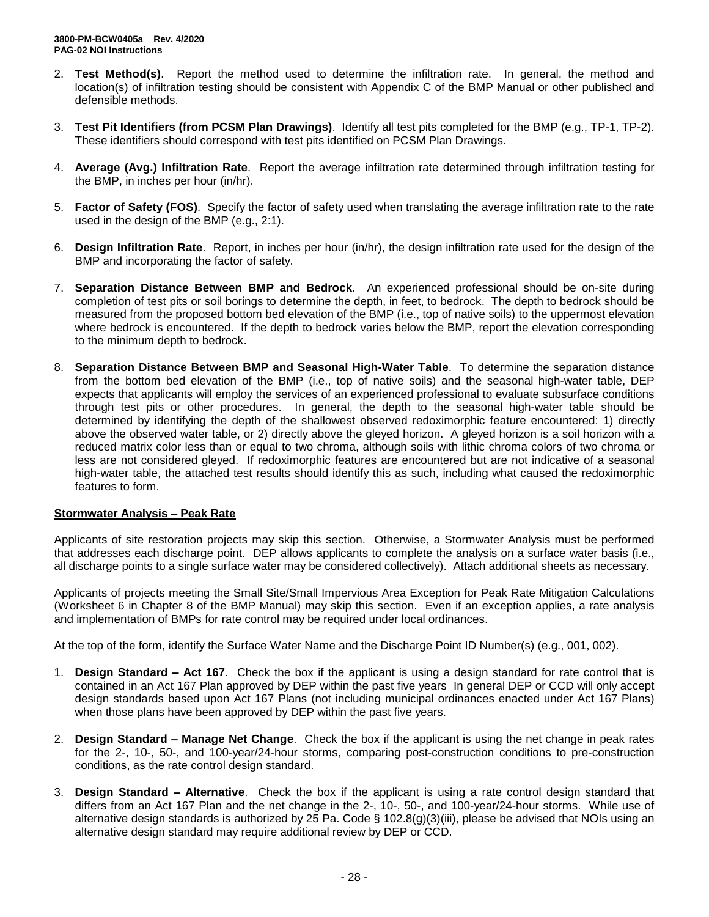- 2. **Test Method(s)**. Report the method used to determine the infiltration rate. In general, the method and location(s) of infiltration testing should be consistent with Appendix C of the BMP Manual or other published and defensible methods.
- 3. **Test Pit Identifiers (from PCSM Plan Drawings)**. Identify all test pits completed for the BMP (e.g., TP-1, TP-2). These identifiers should correspond with test pits identified on PCSM Plan Drawings.
- 4. **Average (Avg.) Infiltration Rate**. Report the average infiltration rate determined through infiltration testing for the BMP, in inches per hour (in/hr).
- 5. **Factor of Safety (FOS)**. Specify the factor of safety used when translating the average infiltration rate to the rate used in the design of the BMP (e.g., 2:1).
- 6. **Design Infiltration Rate**. Report, in inches per hour (in/hr), the design infiltration rate used for the design of the BMP and incorporating the factor of safety.
- 7. **Separation Distance Between BMP and Bedrock**. An experienced professional should be on-site during completion of test pits or soil borings to determine the depth, in feet, to bedrock. The depth to bedrock should be measured from the proposed bottom bed elevation of the BMP (i.e., top of native soils) to the uppermost elevation where bedrock is encountered. If the depth to bedrock varies below the BMP, report the elevation corresponding to the minimum depth to bedrock.
- 8. **Separation Distance Between BMP and Seasonal High-Water Table**. To determine the separation distance from the bottom bed elevation of the BMP (i.e., top of native soils) and the seasonal high-water table, DEP expects that applicants will employ the services of an experienced professional to evaluate subsurface conditions through test pits or other procedures. In general, the depth to the seasonal high-water table should be determined by identifying the depth of the shallowest observed redoximorphic feature encountered: 1) directly above the observed water table, or 2) directly above the gleyed horizon. A gleyed horizon is a soil horizon with a reduced matrix color less than or equal to two chroma, although soils with lithic chroma colors of two chroma or less are not considered gleyed. If redoximorphic features are encountered but are not indicative of a seasonal high-water table, the attached test results should identify this as such, including what caused the redoximorphic features to form.

### **Stormwater Analysis – Peak Rate**

Applicants of site restoration projects may skip this section. Otherwise, a Stormwater Analysis must be performed that addresses each discharge point. DEP allows applicants to complete the analysis on a surface water basis (i.e., all discharge points to a single surface water may be considered collectively). Attach additional sheets as necessary.

Applicants of projects meeting the Small Site/Small Impervious Area Exception for Peak Rate Mitigation Calculations (Worksheet 6 in Chapter 8 of the BMP Manual) may skip this section. Even if an exception applies, a rate analysis and implementation of BMPs for rate control may be required under local ordinances.

At the top of the form, identify the Surface Water Name and the Discharge Point ID Number(s) (e.g., 001, 002).

- 1. **Design Standard – Act 167**. Check the box if the applicant is using a design standard for rate control that is contained in an Act 167 Plan approved by DEP within the past five years In general DEP or CCD will only accept design standards based upon Act 167 Plans (not including municipal ordinances enacted under Act 167 Plans) when those plans have been approved by DEP within the past five years.
- 2. **Design Standard – Manage Net Change**. Check the box if the applicant is using the net change in peak rates for the 2-, 10-, 50-, and 100-year/24-hour storms, comparing post-construction conditions to pre-construction conditions, as the rate control design standard.
- 3. **Design Standard – Alternative**. Check the box if the applicant is using a rate control design standard that differs from an Act 167 Plan and the net change in the 2-, 10-, 50-, and 100-year/24-hour storms. While use of alternative design standards is authorized by 25 Pa. Code § 102.8(g)(3)(iii), please be advised that NOIs using an alternative design standard may require additional review by DEP or CCD.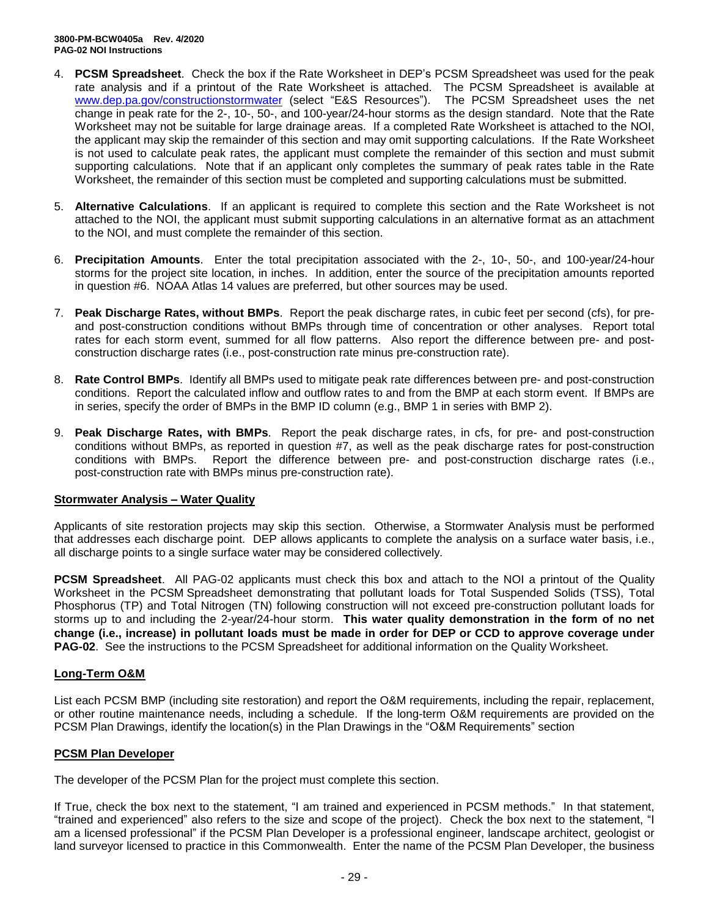- 4. **PCSM Spreadsheet**. Check the box if the Rate Worksheet in DEP's PCSM Spreadsheet was used for the peak rate analysis and if a printout of the Rate Worksheet is attached. The PCSM Spreadsheet is available at [www.dep.pa.gov/constructionstormwater](http://www.dep.pa.gov/constructionstormwater) (select "E&S Resources"). The PCSM Spreadsheet uses the net change in peak rate for the 2-, 10-, 50-, and 100-year/24-hour storms as the design standard. Note that the Rate Worksheet may not be suitable for large drainage areas. If a completed Rate Worksheet is attached to the NOI, the applicant may skip the remainder of this section and may omit supporting calculations. If the Rate Worksheet is not used to calculate peak rates, the applicant must complete the remainder of this section and must submit supporting calculations. Note that if an applicant only completes the summary of peak rates table in the Rate Worksheet, the remainder of this section must be completed and supporting calculations must be submitted.
- 5. **Alternative Calculations**. If an applicant is required to complete this section and the Rate Worksheet is not attached to the NOI, the applicant must submit supporting calculations in an alternative format as an attachment to the NOI, and must complete the remainder of this section.
- 6. **Precipitation Amounts**. Enter the total precipitation associated with the 2-, 10-, 50-, and 100-year/24-hour storms for the project site location, in inches. In addition, enter the source of the precipitation amounts reported in question #6. NOAA Atlas 14 values are preferred, but other sources may be used.
- 7. **Peak Discharge Rates, without BMPs**. Report the peak discharge rates, in cubic feet per second (cfs), for preand post-construction conditions without BMPs through time of concentration or other analyses. Report total rates for each storm event, summed for all flow patterns. Also report the difference between pre- and postconstruction discharge rates (i.e., post-construction rate minus pre-construction rate).
- 8. **Rate Control BMPs**. Identify all BMPs used to mitigate peak rate differences between pre- and post-construction conditions. Report the calculated inflow and outflow rates to and from the BMP at each storm event. If BMPs are in series, specify the order of BMPs in the BMP ID column (e.g., BMP 1 in series with BMP 2).
- 9. **Peak Discharge Rates, with BMPs**. Report the peak discharge rates, in cfs, for pre- and post-construction conditions without BMPs, as reported in question #7, as well as the peak discharge rates for post-construction conditions with BMPs. Report the difference between pre- and post-construction discharge rates (i.e., post-construction rate with BMPs minus pre-construction rate).

### **Stormwater Analysis – Water Quality**

Applicants of site restoration projects may skip this section. Otherwise, a Stormwater Analysis must be performed that addresses each discharge point. DEP allows applicants to complete the analysis on a surface water basis, i.e., all discharge points to a single surface water may be considered collectively.

**PCSM Spreadsheet**. All PAG-02 applicants must check this box and attach to the NOI a printout of the Quality Worksheet in the PCSM Spreadsheet demonstrating that pollutant loads for Total Suspended Solids (TSS), Total Phosphorus (TP) and Total Nitrogen (TN) following construction will not exceed pre-construction pollutant loads for storms up to and including the 2-year/24-hour storm. **This water quality demonstration in the form of no net change (i.e., increase) in pollutant loads must be made in order for DEP or CCD to approve coverage under PAG-02**. See the instructions to the PCSM Spreadsheet for additional information on the Quality Worksheet.

### **Long-Term O&M**

List each PCSM BMP (including site restoration) and report the O&M requirements, including the repair, replacement, or other routine maintenance needs, including a schedule. If the long-term O&M requirements are provided on the PCSM Plan Drawings, identify the location(s) in the Plan Drawings in the "O&M Requirements" section

### **PCSM Plan Developer**

The developer of the PCSM Plan for the project must complete this section.

If True, check the box next to the statement, "I am trained and experienced in PCSM methods." In that statement, "trained and experienced" also refers to the size and scope of the project). Check the box next to the statement, "I am a licensed professional" if the PCSM Plan Developer is a professional engineer, landscape architect, geologist or land surveyor licensed to practice in this Commonwealth. Enter the name of the PCSM Plan Developer, the business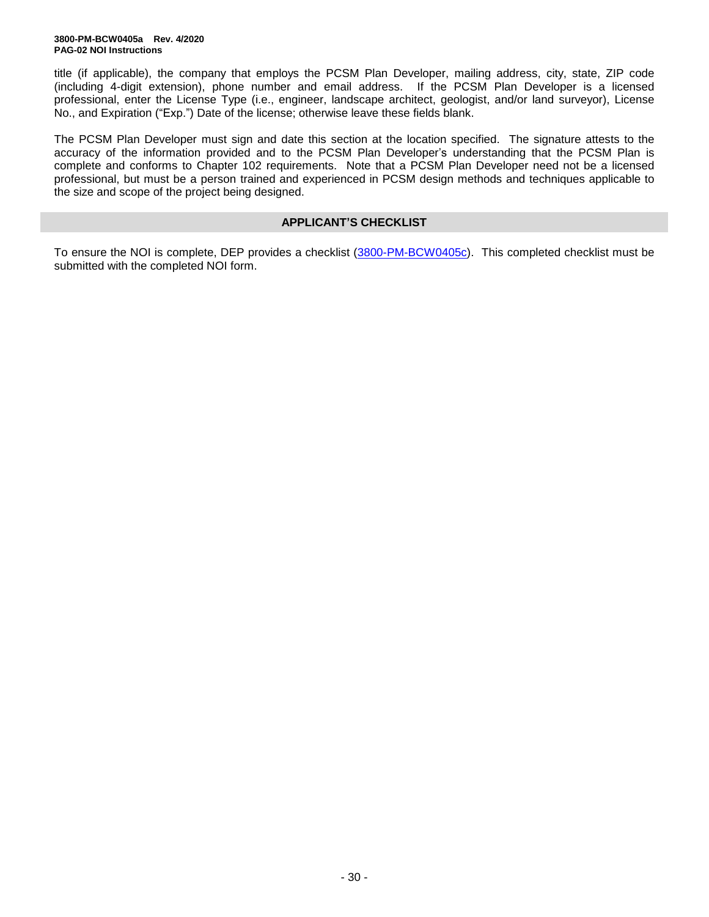title (if applicable), the company that employs the PCSM Plan Developer, mailing address, city, state, ZIP code (including 4-digit extension), phone number and email address. If the PCSM Plan Developer is a licensed professional, enter the License Type (i.e., engineer, landscape architect, geologist, and/or land surveyor), License No., and Expiration ("Exp.") Date of the license; otherwise leave these fields blank.

The PCSM Plan Developer must sign and date this section at the location specified. The signature attests to the accuracy of the information provided and to the PCSM Plan Developer's understanding that the PCSM Plan is complete and conforms to Chapter 102 requirements. Note that a PCSM Plan Developer need not be a licensed professional, but must be a person trained and experienced in PCSM design methods and techniques applicable to the size and scope of the project being designed.

### **APPLICANT'S CHECKLIST**

To ensure the NOI is complete, DEP provides a checklist [\(3800-PM-BCW0405c\)](http://www.depgreenport.state.pa.us/elibrary/GetFolder?FolderID=90982). This completed checklist must be submitted with the completed NOI form.